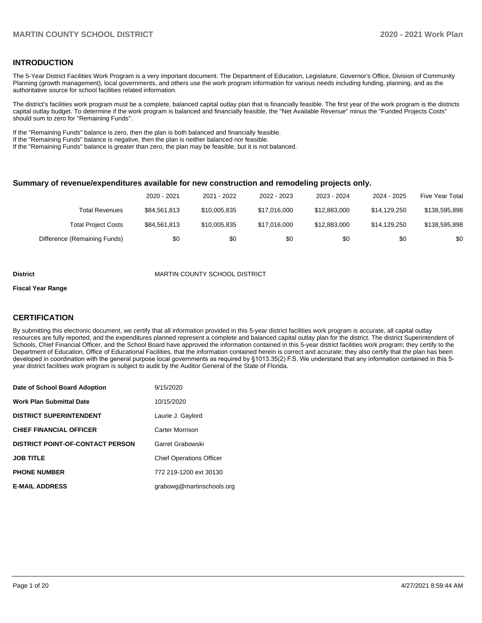## **INTRODUCTION**

The 5-Year District Facilities Work Program is a very important document. The Department of Education, Legislature, Governor's Office, Division of Community Planning (growth management), local governments, and others use the work program information for various needs including funding, planning, and as the authoritative source for school facilities related information.

The district's facilities work program must be a complete, balanced capital outlay plan that is financially feasible. The first year of the work program is the districts capital outlay budget. To determine if the work program is balanced and financially feasible, the "Net Available Revenue" minus the "Funded Projects Costs" should sum to zero for "Remaining Funds".

If the "Remaining Funds" balance is zero, then the plan is both balanced and financially feasible.

If the "Remaining Funds" balance is negative, then the plan is neither balanced nor feasible.

If the "Remaining Funds" balance is greater than zero, the plan may be feasible, but it is not balanced.

#### **Summary of revenue/expenditures available for new construction and remodeling projects only.**

|                              | 2020 - 2021  | 2021 - 2022  | 2022 - 2023  | 2023 - 2024  | 2024 - 2025  | <b>Five Year Total</b> |
|------------------------------|--------------|--------------|--------------|--------------|--------------|------------------------|
| Total Revenues               | \$84.561.813 | \$10,005,835 | \$17.016.000 | \$12,883,000 | \$14.129.250 | \$138,595,898          |
| <b>Total Project Costs</b>   | \$84,561,813 | \$10,005,835 | \$17.016.000 | \$12,883,000 | \$14.129.250 | \$138,595,898          |
| Difference (Remaining Funds) | \$0          | \$0          | \$0          | \$0          | \$0          | \$0                    |

#### **District** MARTIN COUNTY SCHOOL DISTRICT

#### **Fiscal Year Range**

## **CERTIFICATION**

By submitting this electronic document, we certify that all information provided in this 5-year district facilities work program is accurate, all capital outlay resources are fully reported, and the expenditures planned represent a complete and balanced capital outlay plan for the district. The district Superintendent of Schools, Chief Financial Officer, and the School Board have approved the information contained in this 5-year district facilities work program; they certify to the Department of Education, Office of Educational Facilities, that the information contained herein is correct and accurate; they also certify that the plan has been developed in coordination with the general purpose local governments as required by §1013.35(2) F.S. We understand that any information contained in this 5 year district facilities work program is subject to audit by the Auditor General of the State of Florida.

| Date of School Board Adoption           | 9/15/2020                       |
|-----------------------------------------|---------------------------------|
| <b>Work Plan Submittal Date</b>         | 10/15/2020                      |
| <b>DISTRICT SUPERINTENDENT</b>          | Laurie J. Gaylord               |
| <b>CHIEF FINANCIAL OFFICER</b>          | Carter Morrison                 |
| <b>DISTRICT POINT-OF-CONTACT PERSON</b> | Garret Grabowski                |
| <b>JOB TITLE</b>                        | <b>Chief Operations Officer</b> |
| <b>PHONE NUMBER</b>                     | 772 219-1200 ext 30130          |
| <b>E-MAIL ADDRESS</b>                   | grabowg@martinschools.org       |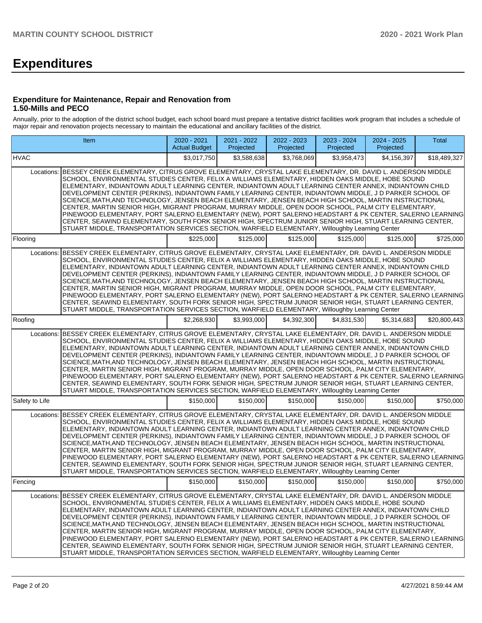# **Expenditures**

### **Expenditure for Maintenance, Repair and Renovation from 1.50-Mills and PECO**

Annually, prior to the adoption of the district school budget, each school board must prepare a tentative district facilities work program that includes a schedule of major repair and renovation projects necessary to maintain the educational and ancillary facilities of the district.

|                | Item                                                                                                                                                                                                                                                                                                                                                                                                                                                                                                                                                                                                                                                                                                                                                                                                                                                                                                                                                                           | 2020 - 2021<br><b>Actual Budget</b> | 2021 - 2022<br>Projected | 2022 - 2023<br>Projected | 2023 - 2024<br>Projected | 2024 - 2025<br>Projected | Total        |
|----------------|--------------------------------------------------------------------------------------------------------------------------------------------------------------------------------------------------------------------------------------------------------------------------------------------------------------------------------------------------------------------------------------------------------------------------------------------------------------------------------------------------------------------------------------------------------------------------------------------------------------------------------------------------------------------------------------------------------------------------------------------------------------------------------------------------------------------------------------------------------------------------------------------------------------------------------------------------------------------------------|-------------------------------------|--------------------------|--------------------------|--------------------------|--------------------------|--------------|
| <b>HVAC</b>    |                                                                                                                                                                                                                                                                                                                                                                                                                                                                                                                                                                                                                                                                                                                                                                                                                                                                                                                                                                                | \$3,017,750                         | \$3,588,638              | \$3,768,069              | \$3.958.473              | \$4,156,397              | \$18,489,327 |
| Locations:     | BESSEY CREEK ELEMENTARY, CITRUS GROVE ELEMENTARY, CRYSTAL LAKE ELEMENTARY, DR. DAVID L. ANDERSON MIDDLE<br>SCHOOL, ENVIRONMENTAL STUDIES CENTER, FELIX A WILLIAMS ELEMENTARY, HIDDEN OAKS MIDDLE, HOBE SOUND<br>ELEMENTARY, INDIANTOWN ADULT LEARNING CENTER, INDIANTOWN ADULT LEARNING CENTER ANNEX, INDIANTOWN CHILD<br>DEVELOPMENT CENTER (PERKINS), INDIANTOWN FAMILY LEARNING CENTER, INDIANTOWN MIDDLE, J D PARKER SCHOOL OF<br>SCIENCE, MATH, AND TECHNOLOGY, JENSEN BEACH ELEMENTARY, JENSEN BEACH HIGH SCHOOL, MARTIN INSTRUCTIONAL<br>CENTER, MARTIN SENIOR HIGH, MIGRANT PROGRAM, MURRAY MIDDLE, OPEN DOOR SCHOOL, PALM CITY ELEMENTARY,<br>PINEWOOD ELEMENTARY, PORT SALERNO ELEMENTARY (NEW), PORT SALERNO HEADSTART & PK CENTER, SALERNO LEARNING<br>CENTER, SEAWIND ELEMENTARY, SOUTH FORK SENIOR HIGH, SPECTRUM JUNIOR SENIOR HIGH, STUART LEARNING CENTER,<br>STUART MIDDLE, TRANSPORTATION SERVICES SECTION, WARFIELD ELEMENTARY, Willoughby Learning Center |                                     |                          |                          |                          |                          |              |
| Flooring       |                                                                                                                                                                                                                                                                                                                                                                                                                                                                                                                                                                                                                                                                                                                                                                                                                                                                                                                                                                                | \$225,000                           | \$125,000                | \$125,000                | \$125,000                | \$125,000                | \$725,000    |
| Locations:     | BESSEY CREEK ELEMENTARY, CITRUS GROVE ELEMENTARY, CRYSTAL LAKE ELEMENTARY, DR. DAVID L. ANDERSON MIDDLE<br>SCHOOL, ENVIRONMENTAL STUDIES CENTER, FELIX A WILLIAMS ELEMENTARY, HIDDEN OAKS MIDDLE, HOBE SOUND<br>ELEMENTARY, INDIANTOWN ADULT LEARNING CENTER, INDIANTOWN ADULT LEARNING CENTER ANNEX, INDIANTOWN CHILD<br>DEVELOPMENT CENTER (PERKINS), INDIANTOWN FAMILY LEARNING CENTER, INDIANTOWN MIDDLE, J D PARKER SCHOOL OF<br>SCIENCE, MATH, AND TECHNOLOGY, JENSEN BEACH ELEMENTARY, JENSEN BEACH HIGH SCHOOL, MARTIN INSTRUCTIONAL<br>CENTER, MARTIN SENIOR HIGH, MIGRANT PROGRAM, MURRAY MIDDLE, OPEN DOOR SCHOOL, PALM CITY ELEMENTARY,<br>PINEWOOD ELEMENTARY, PORT SALERNO ELEMENTARY (NEW), PORT SALERNO HEADSTART & PK CENTER, SALERNO LEARNING<br>CENTER, SEAWIND ELEMENTARY, SOUTH FORK SENIOR HIGH, SPECTRUM JUNIOR SENIOR HIGH, STUART LEARNING CENTER,<br>STUART MIDDLE, TRANSPORTATION SERVICES SECTION, WARFIELD ELEMENTARY, Willoughby Learning Center |                                     |                          |                          |                          |                          |              |
| Roofing        |                                                                                                                                                                                                                                                                                                                                                                                                                                                                                                                                                                                                                                                                                                                                                                                                                                                                                                                                                                                | \$2,268,930                         | \$3,993,000              | \$4,392,300              | \$4,831,530              | \$5,314,683              | \$20,800,443 |
| Locations:     | BESSEY CREEK ELEMENTARY, CITRUS GROVE ELEMENTARY, CRYSTAL LAKE ELEMENTARY, DR. DAVID L. ANDERSON MIDDLE<br>SCHOOL, ENVIRONMENTAL STUDIES CENTER, FELIX A WILLIAMS ELEMENTARY, HIDDEN OAKS MIDDLE, HOBE SOUND<br>ELEMENTARY, INDIANTOWN ADULT LEARNING CENTER, INDIANTOWN ADULT LEARNING CENTER ANNEX, INDIANTOWN CHILD<br>DEVELOPMENT CENTER (PERKINS), INDIANTOWN FAMILY LEARNING CENTER, INDIANTOWN MIDDLE, J D PARKER SCHOOL OF<br>SCIENCE, MATH, AND TECHNOLOGY, JENSEN BEACH ELEMENTARY, JENSEN BEACH HIGH SCHOOL, MARTIN INSTRUCTIONAL<br>CENTER, MARTIN SENIOR HIGH, MIGRANT PROGRAM, MURRAY MIDDLE, OPEN DOOR SCHOOL, PALM CITY ELEMENTARY,<br>PINEWOOD ELEMENTARY, PORT SALERNO ELEMENTARY (NEW), PORT SALERNO HEADSTART & PK CENTER, SALERNO LEARNING<br>CENTER, SEAWIND ELEMENTARY, SOUTH FORK SENIOR HIGH, SPECTRUM JUNIOR SENIOR HIGH, STUART LEARNING CENTER,<br>STUART MIDDLE, TRANSPORTATION SERVICES SECTION, WARFIELD ELEMENTARY, Willoughby Learning Center |                                     |                          |                          |                          |                          |              |
| Safety to Life |                                                                                                                                                                                                                                                                                                                                                                                                                                                                                                                                                                                                                                                                                                                                                                                                                                                                                                                                                                                | \$150,000                           | \$150,000                | \$150,000                | \$150,000                | \$150,000                | \$750,000    |
| Locations:     | BESSEY CREEK ELEMENTARY, CITRUS GROVE ELEMENTARY, CRYSTAL LAKE ELEMENTARY, DR. DAVID L. ANDERSON MIDDLE<br>SCHOOL, ENVIRONMENTAL STUDIES CENTER, FELIX A WILLIAMS ELEMENTARY, HIDDEN OAKS MIDDLE, HOBE SOUND<br>ELEMENTARY, INDIANTOWN ADULT LEARNING CENTER, INDIANTOWN ADULT LEARNING CENTER ANNEX, INDIANTOWN CHILD<br>DEVELOPMENT CENTER (PERKINS), INDIANTOWN FAMILY LEARNING CENTER, INDIANTOWN MIDDLE, J D PARKER SCHOOL OF<br>SCIENCE, MATH, AND TECHNOLOGY, JENSEN BEACH ELEMENTARY, JENSEN BEACH HIGH SCHOOL, MARTIN INSTRUCTIONAL<br>CENTER, MARTIN SENIOR HIGH, MIGRANT PROGRAM, MURRAY MIDDLE, OPEN DOOR SCHOOL, PALM CITY ELEMENTARY,<br>PINEWOOD ELEMENTARY, PORT SALERNO ELEMENTARY (NEW), PORT SALERNO HEADSTART & PK CENTER, SALERNO LEARNING<br>CENTER, SEAWIND ELEMENTARY, SOUTH FORK SENIOR HIGH, SPECTRUM JUNIOR SENIOR HIGH, STUART LEARNING CENTER,<br>STUART MIDDLE, TRANSPORTATION SERVICES SECTION, WARFIELD ELEMENTARY, Willoughby Learning Center |                                     |                          |                          |                          |                          |              |
| Fencing        |                                                                                                                                                                                                                                                                                                                                                                                                                                                                                                                                                                                                                                                                                                                                                                                                                                                                                                                                                                                | \$150,000                           | \$150,000                | \$150,000                | \$150,000                | \$150,000                | \$750,000    |
| Locations:     | BESSEY CREEK ELEMENTARY, CITRUS GROVE ELEMENTARY, CRYSTAL LAKE ELEMENTARY, DR. DAVID L. ANDERSON MIDDLE<br>SCHOOL, ENVIRONMENTAL STUDIES CENTER, FELIX A WILLIAMS ELEMENTARY, HIDDEN OAKS MIDDLE, HOBE SOUND<br>ELEMENTARY, INDIANTOWN ADULT LEARNING CENTER, INDIANTOWN ADULT LEARNING CENTER ANNEX, INDIANTOWN CHILD<br>DEVELOPMENT CENTER (PERKINS), INDIANTOWN FAMILY LEARNING CENTER, INDIANTOWN MIDDLE, J D PARKER SCHOOL OF<br>SCIENCE,MATH,AND TECHNOLOGY, JENSEN BEACH ELEMENTARY, JENSEN BEACH HIGH SCHOOL, MARTIN INSTRUCTIONAL<br>CENTER, MARTIN SENIOR HIGH, MIGRANT PROGRAM, MURRAY MIDDLE, OPEN DOOR SCHOOL, PALM CITY ELEMENTARY,<br>PINEWOOD ELEMENTARY, PORT SALERNO ELEMENTARY (NEW), PORT SALERNO HEADSTART & PK CENTER, SALERNO LEARNING <br>CENTER, SEAWIND ELEMENTARY, SOUTH FORK SENIOR HIGH, SPECTRUM JUNIOR SENIOR HIGH, STUART LEARNING CENTER,<br>STUART MIDDLE, TRANSPORTATION SERVICES SECTION, WARFIELD ELEMENTARY, Willoughby Learning Center  |                                     |                          |                          |                          |                          |              |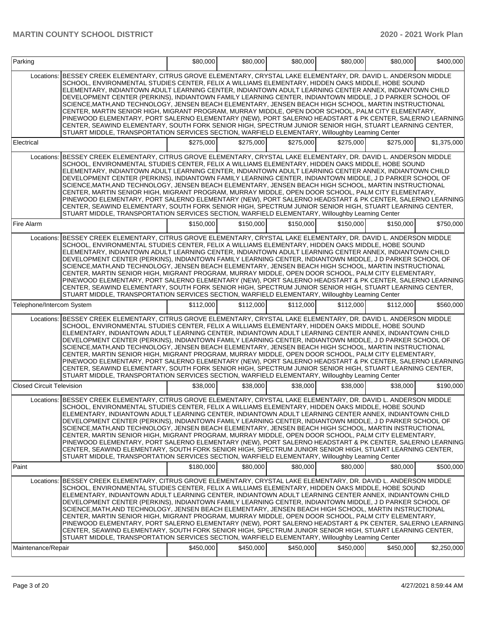| Parking                          |                                                                                                                                                                                                                                                                                                                                                                                                                                                                                                                                                                                                                                                                                                                                                                                                                                                                                                                                                                                          | \$80,000  | \$80,000  | \$80,000  | \$80,000  | \$80,000  | \$400,000   |
|----------------------------------|------------------------------------------------------------------------------------------------------------------------------------------------------------------------------------------------------------------------------------------------------------------------------------------------------------------------------------------------------------------------------------------------------------------------------------------------------------------------------------------------------------------------------------------------------------------------------------------------------------------------------------------------------------------------------------------------------------------------------------------------------------------------------------------------------------------------------------------------------------------------------------------------------------------------------------------------------------------------------------------|-----------|-----------|-----------|-----------|-----------|-------------|
| Locations:                       | BESSEY CREEK ELEMENTARY, CITRUS GROVE ELEMENTARY, CRYSTAL LAKE ELEMENTARY, DR. DAVID L. ANDERSON MIDDLE<br>SCHOOL, ENVIRONMENTAL STUDIES CENTER, FELIX A WILLIAMS ELEMENTARY, HIDDEN OAKS MIDDLE, HOBE SOUND<br>ELEMENTARY, INDIANTOWN ADULT LEARNING CENTER, INDIANTOWN ADULT LEARNING CENTER ANNEX, INDIANTOWN CHILD<br>DEVELOPMENT CENTER (PERKINS), INDIANTOWN FAMILY LEARNING CENTER, INDIANTOWN MIDDLE, J D PARKER SCHOOL OF<br>SCIENCE, MATH, AND TECHNOLOGY, JENSEN BEACH ELEMENTARY, JENSEN BEACH HIGH SCHOOL, MARTIN INSTRUCTIONAL<br>CENTER, MARTIN SENIOR HIGH, MIGRANT PROGRAM, MURRAY MIDDLE, OPEN DOOR SCHOOL, PALM CITY ELEMENTARY,<br>PINEWOOD ELEMENTARY, PORT SALERNO ELEMENTARY (NEW), PORT SALERNO HEADSTART & PK CENTER, SALERNO LEARNING<br>CENTER, SEAWIND ELEMENTARY, SOUTH FORK SENIOR HIGH, SPECTRUM JUNIOR SENIOR HIGH, STUART LEARNING CENTER,<br>STUART MIDDLE, TRANSPORTATION SERVICES SECTION, WARFIELD ELEMENTARY, Willoughby Learning Center           |           |           |           |           |           |             |
| Electrical                       |                                                                                                                                                                                                                                                                                                                                                                                                                                                                                                                                                                                                                                                                                                                                                                                                                                                                                                                                                                                          | \$275,000 | \$275,000 | \$275,000 | \$275,000 | \$275,000 | \$1,375,000 |
| Locations:                       | BESSEY CREEK ELEMENTARY, CITRUS GROVE ELEMENTARY, CRYSTAL LAKE ELEMENTARY, DR. DAVID L. ANDERSON MIDDLE<br>SCHOOL, ENVIRONMENTAL STUDIES CENTER, FELIX A WILLIAMS ELEMENTARY, HIDDEN OAKS MIDDLE, HOBE SOUND<br>ELEMENTARY, INDIANTOWN ADULT LEARNING CENTER, INDIANTOWN ADULT LEARNING CENTER ANNEX, INDIANTOWN CHILD<br>DEVELOPMENT CENTER (PERKINS), INDIANTOWN FAMILY LEARNING CENTER, INDIANTOWN MIDDLE, J D PARKER SCHOOL OF<br>SCIENCE, MATH, AND TECHNOLOGY, JENSEN BEACH ELEMENTARY, JENSEN BEACH HIGH SCHOOL, MARTIN INSTRUCTIONAL<br>CENTER, MARTIN SENIOR HIGH, MIGRANT PROGRAM, MURRAY MIDDLE, OPEN DOOR SCHOOL, PALM CITY ELEMENTARY,<br>PINEWOOD ELEMENTARY, PORT SALERNO ELEMENTARY (NEW), PORT SALERNO HEADSTART & PK CENTER, SALERNO LEARNING<br>CENTER, SEAWIND ELEMENTARY, SOUTH FORK SENIOR HIGH, SPECTRUM JUNIOR SENIOR HIGH, STUART LEARNING CENTER,<br>STUART MIDDLE, TRANSPORTATION SERVICES SECTION, WARFIELD ELEMENTARY, Willoughby Learning Center           |           |           |           |           |           |             |
| Fire Alarm                       |                                                                                                                                                                                                                                                                                                                                                                                                                                                                                                                                                                                                                                                                                                                                                                                                                                                                                                                                                                                          | \$150,000 | \$150,000 | \$150,000 | \$150,000 | \$150,000 | \$750,000   |
| Locations:                       | BESSEY CREEK ELEMENTARY, CITRUS GROVE ELEMENTARY, CRYSTAL LAKE ELEMENTARY, DR. DAVID L. ANDERSON MIDDLE<br>SCHOOL, ENVIRONMENTAL STUDIES CENTER, FELIX A WILLIAMS ELEMENTARY, HIDDEN OAKS MIDDLE, HOBE SOUND<br>ELEMENTARY, INDIANTOWN ADULT LEARNING CENTER, INDIANTOWN ADULT LEARNING CENTER ANNEX, INDIANTOWN CHILD<br>DEVELOPMENT CENTER (PERKINS), INDIANTOWN FAMILY LEARNING CENTER, INDIANTOWN MIDDLE, J D PARKER SCHOOL OF<br>SCIENCE, MATH, AND TECHNOLOGY, JENSEN BEACH ELEMENTARY, JENSEN BEACH HIGH SCHOOL, MARTIN INSTRUCTIONAL<br>CENTER, MARTIN SENIOR HIGH, MIGRANT PROGRAM, MURRAY MIDDLE, OPEN DOOR SCHOOL, PALM CITY ELEMENTARY,<br>PINEWOOD ELEMENTARY, PORT SALERNO ELEMENTARY (NEW), PORT SALERNO HEADSTART & PK CENTER, SALERNO LEARNING<br>CENTER, SEAWIND ELEMENTARY, SOUTH FORK SENIOR HIGH, SPECTRUM JUNIOR SENIOR HIGH, STUART LEARNING CENTER,<br>STUART MIDDLE, TRANSPORTATION SERVICES SECTION, WARFIELD ELEMENTARY, Willoughby Learning Center           |           |           |           |           |           |             |
| Telephone/Intercom System        |                                                                                                                                                                                                                                                                                                                                                                                                                                                                                                                                                                                                                                                                                                                                                                                                                                                                                                                                                                                          | \$112,000 | \$112,000 | \$112,000 | \$112,000 | \$112,000 | \$560,000   |
|                                  | Locations: BESSEY CREEK ELEMENTARY, CITRUS GROVE ELEMENTARY, CRYSTAL LAKE ELEMENTARY, DR. DAVID L. ANDERSON MIDDLE<br>SCHOOL, ENVIRONMENTAL STUDIES CENTER, FELIX A WILLIAMS ELEMENTARY, HIDDEN OAKS MIDDLE, HOBE SOUND<br>ELEMENTARY, INDIANTOWN ADULT LEARNING CENTER, INDIANTOWN ADULT LEARNING CENTER ANNEX, INDIANTOWN CHILD<br>DEVELOPMENT CENTER (PERKINS), INDIANTOWN FAMILY LEARNING CENTER, INDIANTOWN MIDDLE, J D PARKER SCHOOL OF<br>SCIENCE,MATH,AND TECHNOLOGY, JENSEN BEACH ELEMENTARY, JENSEN BEACH HIGH SCHOOL, MARTIN INSTRUCTIONAL<br>CENTER, MARTIN SENIOR HIGH, MIGRANT PROGRAM, MURRAY MIDDLE, OPEN DOOR SCHOOL, PALM CITY ELEMENTARY,<br>PINEWOOD ELEMENTARY, PORT SALERNO ELEMENTARY (NEW), PORT SALERNO HEADSTART & PK CENTER, SALERNO LEARNING<br>CENTER, SEAWIND ELEMENTARY, SOUTH FORK SENIOR HIGH, SPECTRUM JUNIOR SENIOR HIGH, STUART LEARNING CENTER,<br>STUART MIDDLE, TRANSPORTATION SERVICES SECTION, WARFIELD ELEMENTARY, Willoughby Learning Center  |           |           |           |           |           |             |
| <b>Closed Circuit Television</b> |                                                                                                                                                                                                                                                                                                                                                                                                                                                                                                                                                                                                                                                                                                                                                                                                                                                                                                                                                                                          | \$38,000  | \$38,000  | \$38,000  | \$38,000  | \$38,000  | \$190,000   |
|                                  | Locations: BESSEY CREEK ELEMENTARY, CITRUS GROVE ELEMENTARY, CRYSTAL LAKE ELEMENTARY, DR. DAVID L. ANDERSON MIDDLE<br>SCHOOL, ENVIRONMENTAL STUDIES CENTER, FELIX A WILLIAMS ELEMENTARY, HIDDEN OAKS MIDDLE, HOBE SOUND<br>ELEMENTARY, INDIANTOWN ADULT LEARNING CENTER, INDIANTOWN ADULT LEARNING CENTER ANNEX, INDIANTOWN CHILD<br>DEVELOPMENT CENTER (PERKINS), INDIANTOWN FAMILY LEARNING CENTER, INDIANTOWN MIDDLE, J D PARKER SCHOOL OF<br>SCIENCE.MATH.AND TECHNOLOGY, JENSEN BEACH ELEMENTARY, JENSEN BEACH HIGH SCHOOL, MARTIN INSTRUCTIONAL<br>CENTER, MARTIN SENIOR HIGH, MIGRANT PROGRAM, MURRAY MIDDLE, OPEN DOOR SCHOOL, PALM CITY ELEMENTARY,<br>PINEWOOD ELEMENTARY, PORT SALERNO ELEMENTARY (NEW), PORT SALERNO HEADSTART & PK CENTER, SALERNO LEARNING <br>CENTER, SEAWIND ELEMENTARY, SOUTH FORK SENIOR HIGH, SPECTRUM JUNIOR SENIOR HIGH, STUART LEARNING CENTER,<br>STUART MIDDLE, TRANSPORTATION SERVICES SECTION, WARFIELD ELEMENTARY, Willoughby Learning Center |           |           |           |           |           |             |
| Paint                            |                                                                                                                                                                                                                                                                                                                                                                                                                                                                                                                                                                                                                                                                                                                                                                                                                                                                                                                                                                                          | \$180,000 | \$80,000  | \$80,000  | \$80,000  | \$80,000  | \$500,000   |
| Locations:<br>Maintenance/Repair | BESSEY CREEK ELEMENTARY, CITRUS GROVE ELEMENTARY, CRYSTAL LAKE ELEMENTARY, DR. DAVID L. ANDERSON MIDDLE<br>SCHOOL, ENVIRONMENTAL STUDIES CENTER, FELIX A WILLIAMS ELEMENTARY, HIDDEN OAKS MIDDLE, HOBE SOUND<br>ELEMENTARY, INDIANTOWN ADULT LEARNING CENTER, INDIANTOWN ADULT LEARNING CENTER ANNEX, INDIANTOWN CHILD<br>DEVELOPMENT CENTER (PERKINS), INDIANTOWN FAMILY LEARNING CENTER, INDIANTOWN MIDDLE, J D PARKER SCHOOL OF<br>SCIENCE, MATH, AND TECHNOLOGY, JENSEN BEACH ELEMENTARY, JENSEN BEACH HIGH SCHOOL, MARTIN INSTRUCTIONAL<br>CENTER, MARTIN SENIOR HIGH, MIGRANT PROGRAM, MURRAY MIDDLE, OPEN DOOR SCHOOL, PALM CITY ELEMENTARY,<br>PINEWOOD ELEMENTARY, PORT SALERNO ELEMENTARY (NEW), PORT SALERNO HEADSTART & PK CENTER, SALERNO LEARNING<br>CENTER, SEAWIND ELEMENTARY, SOUTH FORK SENIOR HIGH, SPECTRUM JUNIOR SENIOR HIGH, STUART LEARNING CENTER,<br>STUART MIDDLE, TRANSPORTATION SERVICES SECTION, WARFIELD ELEMENTARY, Willoughby Learning Center           | \$450,000 | \$450,000 | \$450,000 | \$450,000 | \$450,000 | \$2,250,000 |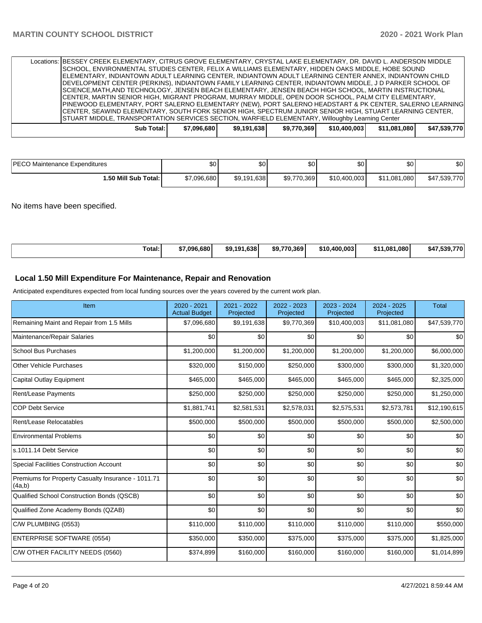| Locations: BESSEY CREEK ELEMENTARY, CITRUS GROVE ELEMENTARY, CRYSTAL LAKE ELEMENTARY, DR. DAVID L. ANDERSON MIDDLE                                                                                           |            |             |             |             |              |              |              |
|--------------------------------------------------------------------------------------------------------------------------------------------------------------------------------------------------------------|------------|-------------|-------------|-------------|--------------|--------------|--------------|
| SCHOOL, ENVIRONMENTAL STUDIES CENTER, FELIX A WILLIAMS ELEMENTARY, HIDDEN OAKS MIDDLE, HOBE SOUND<br>ELEMENTARY, INDIANTOWN ADULT LEARNING CENTER, INDIANTOWN ADULT LEARNING CENTER ANNEX, INDIANTOWN CHILD  |            |             |             |             |              |              |              |
| DEVELOPMENT CENTER (PERKINS), INDIANTOWN FAMILY LEARNING CENTER, INDIANTOWN MIDDLE, J D PARKER SCHOOL OF                                                                                                     |            |             |             |             |              |              |              |
| SCIENCE,MATH,AND TECHNOLOGY, JENSEN BEACH ELEMENTARY, JENSEN BEACH HIGH SCHOOL, MARTIN INSTRUCTIONAL<br>[CENTER, MARTIN SENIOR HIGH, MIGRANT PROGRAM, MURRAY MIDDLE, OPEN DOOR SCHOOL, PALM CITY ELEMENTARY, |            |             |             |             |              |              |              |
| PINEWOOD ELEMENTARY, PORT SALERNO ELEMENTARY (NEW), PORT SALERNO HEADSTART & PK CENTER, SALERNO LEARNING                                                                                                     |            |             |             |             |              |              |              |
| CENTER, SEAWIND ELEMENTARY, SOUTH FORK SENIOR HIGH, SPECTRUM JUNIOR SENIOR HIGH, STUART LEARNING CENTER,<br>STUART MIDDLE, TRANSPORTATION SERVICES SECTION, WARFIELD ELEMENTARY, Willoughby Learning Center  |            |             |             |             |              |              |              |
|                                                                                                                                                                                                              | Sub Total: | \$7.096.680 | \$9.191.638 | \$9,770,369 | \$10,400,003 | \$11,081,080 | \$47,539,770 |

| <b>IPECO Maintenance Expenditures</b> | ሶሳ<br>υυ    | ጣ<br>.DU    | ሶስ<br>JС    | \$0 <sub>1</sub> | $\sim$<br>υ∪ | \$0          |
|---------------------------------------|-------------|-------------|-------------|------------------|--------------|--------------|
| 1.50 Mill Sub Total: I                | \$7,096,680 | \$9,191,638 | \$9,770,369 | \$10,400,003     | \$11.081.080 | \$47,539,770 |

No items have been specified.

| . | Total: | \$7.096.6801 | \$9.191.638 | \$9.770.369 | \$10.400.003 | \$11.081.080 | 770<br>\$47<br>-339 |
|---|--------|--------------|-------------|-------------|--------------|--------------|---------------------|
|---|--------|--------------|-------------|-------------|--------------|--------------|---------------------|

# **Local 1.50 Mill Expenditure For Maintenance, Repair and Renovation**

Anticipated expenditures expected from local funding sources over the years covered by the current work plan.

| Item                                                         | $2020 - 2021$<br><b>Actual Budget</b> | 2021 - 2022<br>Projected | 2022 - 2023<br>Projected | 2023 - 2024<br>Projected | 2024 - 2025<br>Projected | <b>Total</b> |
|--------------------------------------------------------------|---------------------------------------|--------------------------|--------------------------|--------------------------|--------------------------|--------------|
| Remaining Maint and Repair from 1.5 Mills                    | \$7,096,680                           | \$9,191,638              | \$9,770,369              | \$10,400,003             | \$11,081,080             | \$47,539,770 |
| Maintenance/Repair Salaries                                  | \$0                                   | \$0                      | \$0                      | \$0                      | \$0                      | \$0          |
| <b>School Bus Purchases</b>                                  | \$1,200,000                           | \$1,200,000              | \$1,200,000              | \$1,200,000              | \$1,200,000              | \$6,000,000  |
| <b>Other Vehicle Purchases</b>                               | \$320,000                             | \$150,000                | \$250,000                | \$300,000                | \$300,000                | \$1,320,000  |
| Capital Outlay Equipment                                     | \$465,000                             | \$465,000                | \$465,000                | \$465,000                | \$465,000                | \$2,325,000  |
| Rent/Lease Payments                                          | \$250,000                             | \$250,000                | \$250,000                | \$250,000                | \$250,000                | \$1,250,000  |
| <b>COP Debt Service</b>                                      | \$1,881,741                           | \$2,581,531              | \$2,578,031              | \$2,575,531              | \$2,573,781              | \$12,190,615 |
| Rent/Lease Relocatables                                      | \$500,000                             | \$500,000                | \$500,000                | \$500,000                | \$500,000                | \$2,500,000  |
| <b>Environmental Problems</b>                                | \$0                                   | \$0                      | \$0                      | \$0                      | \$0                      | \$0          |
| s.1011.14 Debt Service                                       | \$0                                   | \$0                      | \$0                      | \$0                      | \$0                      | \$0          |
| <b>Special Facilities Construction Account</b>               | \$0                                   | \$0                      | \$0                      | \$0                      | \$0                      | \$0          |
| Premiums for Property Casualty Insurance - 1011.71<br>(4a,b) | \$0                                   | \$0                      | \$0                      | \$0                      | \$0                      | \$0          |
| Qualified School Construction Bonds (QSCB)                   | \$0                                   | \$0                      | \$0                      | \$0                      | \$0                      | \$0          |
| Qualified Zone Academy Bonds (QZAB)                          | \$0                                   | \$0                      | \$0                      | \$0                      | \$0                      | \$0          |
| C/W PLUMBING (0553)                                          | \$110,000                             | \$110,000                | \$110,000                | \$110,000                | \$110,000                | \$550,000    |
| <b>ENTERPRISE SOFTWARE (0554)</b>                            | \$350,000                             | \$350,000                | \$375,000                | \$375,000                | \$375,000                | \$1,825,000  |
| C/W OTHER FACILITY NEEDS (0560)                              | \$374,899                             | \$160,000                | \$160,000                | \$160,000                | \$160,000                | \$1,014,899  |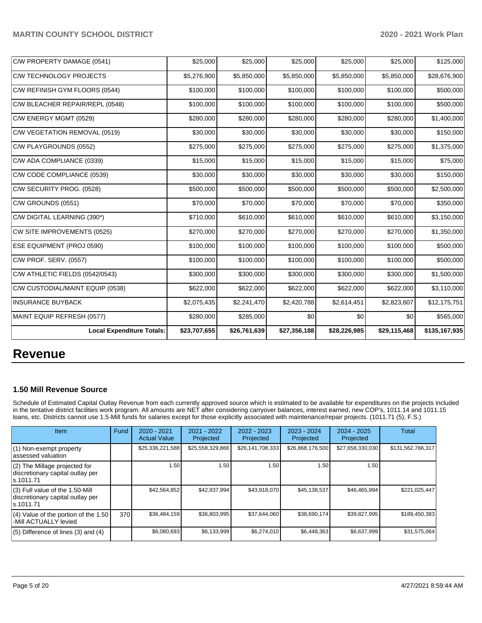| C/W PROPERTY DAMAGE (0541)       | \$25,000     | \$25,000     | \$25,000     | \$25,000     | \$25,000     | \$125,000     |
|----------------------------------|--------------|--------------|--------------|--------------|--------------|---------------|
| C/W TECHNOLOGY PROJECTS          | \$5,276,900  | \$5,850,000  | \$5,850,000  | \$5,850,000  | \$5,850,000  | \$28,676,900  |
| C/W REFINISH GYM FLOORS (0544)   | \$100,000    | \$100,000    | \$100,000    | \$100,000    | \$100,000    | \$500,000     |
| C/W BLEACHER REPAIR/REPL (0548)  | \$100,000    | \$100,000    | \$100,000    | \$100,000    | \$100,000    | \$500,000     |
| C/W ENERGY MGMT (0529)           | \$280,000    | \$280,000    | \$280,000    | \$280,000    | \$280,000    | \$1,400,000   |
| C/W VEGETATION REMOVAL (0519)    | \$30,000     | \$30,000     | \$30,000     | \$30,000     | \$30,000     | \$150,000     |
| C/W PLAYGROUNDS (0552)           | \$275,000    | \$275,000    | \$275,000    | \$275,000    | \$275,000    | \$1,375,000   |
| C/W ADA COMPLIANCE (0339)        | \$15,000     | \$15,000     | \$15,000     | \$15,000     | \$15,000     | \$75,000      |
| C/W CODE COMPLIANCE (0539)       | \$30,000     | \$30,000     | \$30,000     | \$30,000     | \$30,000     | \$150,000     |
| C/W SECURITY PROG. (0528)        | \$500,000    | \$500,000    | \$500,000    | \$500,000    | \$500,000    | \$2,500,000   |
| C/W GROUNDS (0551)               | \$70,000     | \$70,000     | \$70,000     | \$70,000     | \$70,000     | \$350,000     |
| C/W DIGITAL LEARNING (390*)      | \$710,000    | \$610,000    | \$610,000    | \$610,000    | \$610,000    | \$3,150,000   |
| CW SITE IMPROVEMENTS (0525)      | \$270,000    | \$270,000    | \$270,000    | \$270,000    | \$270,000    | \$1,350,000   |
| ESE EQUIPMENT (PROJ 0590)        | \$100,000    | \$100,000    | \$100,000    | \$100,000    | \$100,000    | \$500,000     |
| C/W PROF. SERV. (0557)           | \$100,000    | \$100,000    | \$100,000    | \$100,000    | \$100,000    | \$500,000     |
| C/W ATHLETIC FIELDS (0542/0543)  | \$300,000    | \$300,000    | \$300,000    | \$300,000    | \$300,000    | \$1,500,000   |
| C/W CUSTODIAL/MAINT EQUIP (0538) | \$622,000    | \$622,000    | \$622,000    | \$622,000    | \$622,000    | \$3,110,000   |
| <b>INSURANCE BUYBACK</b>         | \$2,075,435  | \$2,241,470  | \$2,420,788  | \$2,614,451  | \$2,823,607  | \$12,175,751  |
| MAINT EQUIP REFRESH (0577)       | \$280,000    | \$285,000    | \$0          | \$0          | \$0          | \$565,000     |
| <b>Local Expenditure Totals:</b> | \$23,707,655 | \$26,761,639 | \$27,356,188 | \$28,226,985 | \$29,115,468 | \$135,167,935 |

# **Revenue**

# **1.50 Mill Revenue Source**

Schedule of Estimated Capital Outlay Revenue from each currently approved source which is estimated to be available for expenditures on the projects included in the tentative district facilities work program. All amounts are NET after considering carryover balances, interest earned, new COP's, 1011.14 and 1011.15 loans, etc. Districts cannot use 1.5-Mill funds for salaries except for those explicitly associated with maintenance/repair projects. (1011.71 (5), F.S.)

| <b>Item</b>                                                                         | Fund | $2020 - 2021$<br><b>Actual Value</b> | $2021 - 2022$<br>Projected | 2022 - 2023<br>Projected | $2023 - 2024$<br>Projected | $2024 - 2025$<br>Projected | Total             |
|-------------------------------------------------------------------------------------|------|--------------------------------------|----------------------------|--------------------------|----------------------------|----------------------------|-------------------|
| (1) Non-exempt property<br>lassessed valuation                                      |      | \$25,336,221,588                     | \$25,558,329,866           | \$26,141,708,333         | \$26,868,176,500           | \$27,658,330,030           | \$131,562,766,317 |
| (2) The Millage projected for<br>discretionary capital outlay per<br>ls.1011.71     |      | 1.50                                 | 1.50                       | 1.50                     | 1.50                       | 1.50                       |                   |
| $(3)$ Full value of the 1.50-Mill<br>discretionary capital outlay per<br>ls.1011.71 |      | \$42,564,852                         | \$42,937,994               | \$43,918,070             | \$45,138,537               | \$46,465,994               | \$221,025,447     |
| $(4)$ Value of the portion of the 1.50<br>-Mill ACTUALLY levied                     | 370  | \$36,484,159                         | \$36,803,995               | \$37,644,060             | \$38,690,174               | \$39,827,995               | \$189,450,383     |
| $(5)$ Difference of lines $(3)$ and $(4)$                                           |      | \$6,080,693                          | \$6,133,999                | \$6,274,010              | \$6,448,363                | \$6,637,999                | \$31,575,064      |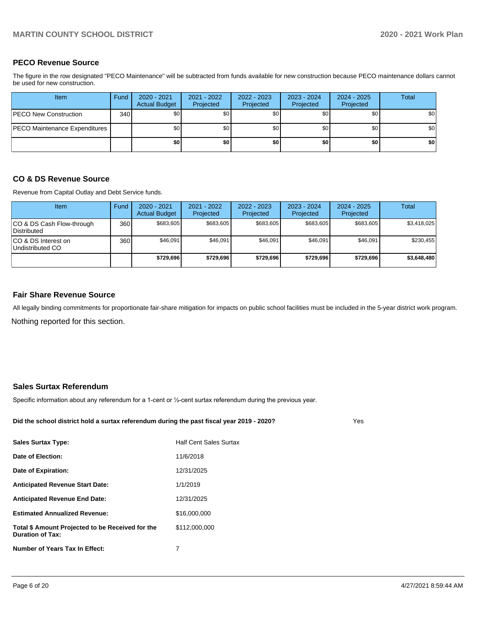# **PECO Revenue Source**

The figure in the row designated "PECO Maintenance" will be subtracted from funds available for new construction because PECO maintenance dollars cannot be used for new construction.

| Item                                 | Fund | $2020 - 2021$<br><b>Actual Budget</b> | 2021 - 2022<br>Projected | 2022 - 2023<br>Projected | 2023 - 2024<br>Projected | 2024 - 2025<br>Projected | Total |
|--------------------------------------|------|---------------------------------------|--------------------------|--------------------------|--------------------------|--------------------------|-------|
| <b>IPECO New Construction</b>        | 340  | \$0 <sub>1</sub>                      | \$0                      | \$0                      | \$0 <sub>1</sub>         | \$0                      | \$0   |
| <b>PECO Maintenance Expenditures</b> |      | \$0 <sub>1</sub>                      | \$0                      | \$0                      | \$0 <sub>1</sub>         | \$0 <sub>1</sub>         | \$0   |
|                                      |      | \$0                                   | \$0                      | \$0                      | \$0                      | \$0                      | \$0   |

## **CO & DS Revenue Source**

Revenue from Capital Outlay and Debt Service funds.

| <b>Item</b>                                     | Fund | $2020 - 2021$<br><b>Actual Budget</b> | $2021 - 2022$<br>Projected | $2022 - 2023$<br>Projected | 2023 - 2024<br>Projected | $2024 - 2025$<br>Projected | Total       |
|-------------------------------------------------|------|---------------------------------------|----------------------------|----------------------------|--------------------------|----------------------------|-------------|
| CO & DS Cash Flow-through<br><b>Distributed</b> | 360  | \$683.605                             | \$683.605                  | \$683.605                  | \$683.605                | \$683,605                  | \$3,418,025 |
| CO & DS Interest on<br>Undistributed CO         | 360  | \$46,091                              | \$46.091                   | \$46.091                   | \$46.091                 | \$46,091                   | \$230,455   |
|                                                 |      | \$729.696                             | \$729.696                  | \$729.696                  | \$729.696                | \$729,696                  | \$3,648,480 |

## **Fair Share Revenue Source**

Nothing reported for this section. All legally binding commitments for proportionate fair-share mitigation for impacts on public school facilities must be included in the 5-year district work program.

## **Sales Surtax Referendum**

Specific information about any referendum for a 1-cent or ½-cent surtax referendum during the previous year.

**Did the school district hold a surtax referendum during the past fiscal year 2019 - 2020?**

Yes

| <b>Half Cent Sales Surtax</b> |
|-------------------------------|
| 11/6/2018                     |
| 12/31/2025                    |
| 1/1/2019                      |
| 12/31/2025                    |
| \$16,000,000                  |
| \$112,000,000                 |
| 7                             |
|                               |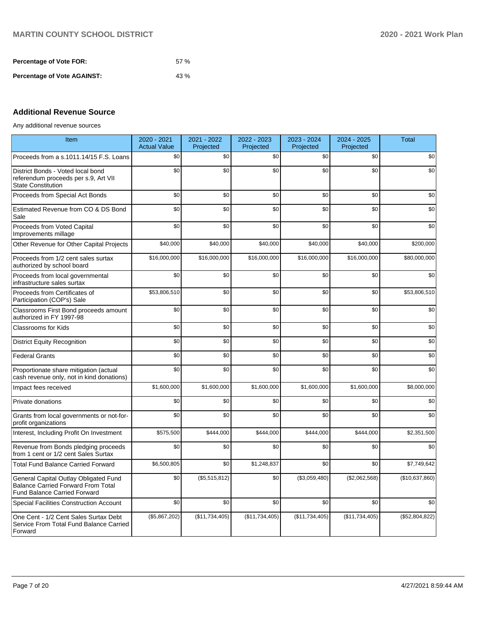| <b>Percentage of Vote FOR:</b>     | 57% |
|------------------------------------|-----|
| <b>Percentage of Vote AGAINST:</b> | 43% |

# **Additional Revenue Source**

Any additional revenue sources

| Item                                                                                                                      | 2020 - 2021<br><b>Actual Value</b> | 2021 - 2022<br>Projected | 2022 - 2023<br>Projected | 2023 - 2024<br>Projected | 2024 - 2025<br>Projected | <b>Total</b>   |
|---------------------------------------------------------------------------------------------------------------------------|------------------------------------|--------------------------|--------------------------|--------------------------|--------------------------|----------------|
| Proceeds from a s.1011.14/15 F.S. Loans                                                                                   | \$0                                | \$0                      | \$0                      | \$0                      | \$0                      | \$0            |
| District Bonds - Voted local bond<br>referendum proceeds per s.9, Art VII<br><b>State Constitution</b>                    | \$0                                | \$0                      | \$0                      | \$0                      | \$0                      | \$0            |
| Proceeds from Special Act Bonds                                                                                           | \$0                                | \$0                      | \$0                      | \$0                      | \$0                      | \$0            |
| Estimated Revenue from CO & DS Bond<br>Sale                                                                               | \$0                                | \$0                      | \$0                      | \$0                      | \$0                      | \$0            |
| Proceeds from Voted Capital<br>Improvements millage                                                                       | \$0                                | \$0                      | \$0                      | \$0                      | \$0                      | \$0            |
| Other Revenue for Other Capital Projects                                                                                  | \$40,000                           | \$40,000                 | \$40,000                 | \$40,000                 | \$40,000                 | \$200,000      |
| Proceeds from 1/2 cent sales surtax<br>authorized by school board                                                         | \$16,000,000                       | \$16,000,000             | \$16,000,000             | \$16,000,000             | \$16,000,000             | \$80,000,000   |
| Proceeds from local governmental<br>infrastructure sales surtax                                                           | \$0                                | \$0                      | \$0                      | \$0                      | \$0                      | \$0            |
| Proceeds from Certificates of<br>Participation (COP's) Sale                                                               | \$53,806,510                       | \$0                      | \$0                      | \$0                      | \$0                      | \$53,806,510   |
| Classrooms First Bond proceeds amount<br>authorized in FY 1997-98                                                         | \$0                                | \$0                      | \$0                      | \$0                      | \$0                      | \$0            |
| <b>Classrooms for Kids</b>                                                                                                | \$0                                | \$0                      | \$0                      | \$0                      | \$0                      | \$0            |
| <b>District Equity Recognition</b>                                                                                        | \$0                                | \$0                      | \$0                      | \$0                      | \$0                      | \$0            |
| <b>Federal Grants</b>                                                                                                     | \$0                                | \$0                      | \$0                      | \$0                      | \$0                      | \$0            |
| Proportionate share mitigation (actual<br>cash revenue only, not in kind donations)                                       | \$0                                | \$0                      | \$0                      | \$0                      | \$0                      | \$0            |
| Impact fees received                                                                                                      | \$1,600,000                        | \$1,600,000              | \$1,600,000              | \$1,600,000              | \$1,600,000              | \$8,000,000    |
| Private donations                                                                                                         | \$0                                | \$0                      | \$0                      | \$0                      | \$0                      | \$0            |
| Grants from local governments or not-for-<br>profit organizations                                                         | \$0                                | \$0                      | \$0                      | \$0                      | \$0                      | \$0            |
| Interest, Including Profit On Investment                                                                                  | \$575,500                          | \$444,000                | \$444,000                | \$444,000                | \$444,000                | \$2,351,500    |
| Revenue from Bonds pledging proceeds<br>from 1 cent or 1/2 cent Sales Surtax                                              | \$0                                | \$0                      | \$0                      | \$0                      | \$0                      | \$0            |
| <b>Total Fund Balance Carried Forward</b>                                                                                 | \$6,500,805                        | \$0                      | \$1,248,837              | \$0                      | \$0                      | \$7,749,642    |
| General Capital Outlay Obligated Fund<br><b>Balance Carried Forward From Total</b><br><b>Fund Balance Carried Forward</b> | \$0                                | (\$5,515,812)            | \$0                      | (\$3,059,480)            | (\$2,062,568)            | (\$10,637,860) |
| <b>Special Facilities Construction Account</b>                                                                            | \$0                                | \$0                      | \$0                      | \$0                      | \$0                      | \$0            |
| One Cent - 1/2 Cent Sales Surtax Debt<br>Service From Total Fund Balance Carried<br>Forward                               | (\$5,867,202)                      | (\$11,734,405)           | (\$11,734,405)           | (\$11,734,405)           | (\$11,734,405)           | (\$52,804,822) |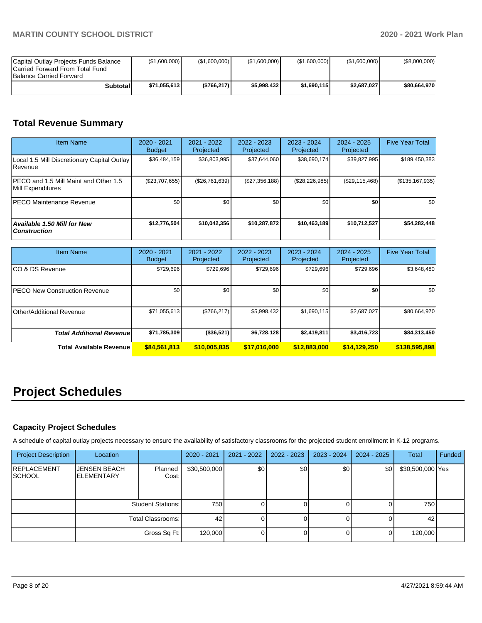| Capital Outlay Projects Funds Balance<br>Carried Forward From Total Fund<br><b>Balance Carried Forward</b> | (\$1,600,000) | (\$1,600,000) | (S1.600.000) | (\$1,600,000) | (S1,600,000) | (S8,000,000) |
|------------------------------------------------------------------------------------------------------------|---------------|---------------|--------------|---------------|--------------|--------------|
| Subtotal                                                                                                   | \$71.055.613  | (\$766, 217)  | \$5.998.432  | \$1.690.115   | \$2,687,027  | \$80,664,970 |

# **Total Revenue Summary**

| <b>Item Name</b>                                                   | 2020 - 2021<br><b>Budget</b> | 2021 - 2022<br>Projected | 2022 - 2023<br>Projected | 2023 - 2024<br>Projected | $2024 - 2025$<br>Projected | <b>Five Year Total</b> |
|--------------------------------------------------------------------|------------------------------|--------------------------|--------------------------|--------------------------|----------------------------|------------------------|
| Local 1.5 Mill Discretionary Capital Outlay<br>l Revenue           | \$36,484,159                 | \$36,803,995             | \$37.644.060             | \$38,690,174             | \$39,827,995               | \$189,450,383          |
| <b>IPECO and 1.5 Mill Maint and Other 1.5</b><br>Mill Expenditures | (\$23,707,655)               | (\$26,761,639)           | (\$27,356,188)           | (\$28, 226, 985)         | (\$29, 115, 468)           | $($ \$135,167,935) $ $ |
| <b>PECO Maintenance Revenue</b>                                    | \$0                          | \$0 <sub>1</sub>         | \$0                      | \$0                      | \$0                        | \$0                    |
| <b>Available 1.50 Mill for New</b><br><b>Construction</b>          | \$12,776,504                 | \$10,042,356             | \$10,287,872             | \$10,463,189             | \$10,712,527               | \$54,282,448           |

| <b>Item Name</b>                     | 2020 - 2021<br><b>Budget</b> | $2021 - 2022$<br>Projected | 2022 - 2023<br>Projected | 2023 - 2024<br>Projected | 2024 - 2025<br>Projected | <b>Five Year Total</b> |
|--------------------------------------|------------------------------|----------------------------|--------------------------|--------------------------|--------------------------|------------------------|
| ICO & DS Revenue                     | \$729,696                    | \$729,696                  | \$729.696                | \$729,696                | \$729,696                | \$3,648,480            |
| <b>PECO New Construction Revenue</b> | \$0                          | \$0                        | \$0                      | \$0                      | \$0                      | \$0                    |
| Other/Additional Revenue             | \$71,055,613                 | (\$766, 217)               | \$5,998,432              | \$1,690,115              | \$2,687,027              | \$80,664,970           |
| <b>Total Additional Revenuel</b>     | \$71,785,309                 | (\$36,521)                 | \$6,728,128              | \$2,419,811              | \$3,416,723              | \$84,313,450           |
| Total Available Revenue              | \$84,561,813                 | \$10,005,835               | \$17,016,000             | \$12,883,000             | \$14,129,250             | \$138,595,898          |

# **Project Schedules**

# **Capacity Project Schedules**

A schedule of capital outlay projects necessary to ensure the availability of satisfactory classrooms for the projected student enrollment in K-12 programs.

| <b>Project Description</b>          | Location                                 |                          | 2020 - 2021  | $2021 - 2022$ | 2022 - 2023 | $2023 - 2024$ | $2024 - 2025$ | Total            | Funded |
|-------------------------------------|------------------------------------------|--------------------------|--------------|---------------|-------------|---------------|---------------|------------------|--------|
| <b>REPLACEMENT</b><br><b>SCHOOL</b> | <b>JENSEN BEACH</b><br><b>ELEMENTARY</b> | Planned<br>Cost:         | \$30,500,000 | \$0           | \$0         | \$0           | \$0           | \$30,500,000 Yes |        |
|                                     |                                          | <b>Student Stations:</b> | 750          |               | 01          |               |               | 750              |        |
|                                     |                                          | Total Classrooms:        | 42           |               | ΟI          |               |               | 42               |        |
|                                     |                                          | Gross Sq Ft:             | 120,000      |               | 0           |               |               | 120,000          |        |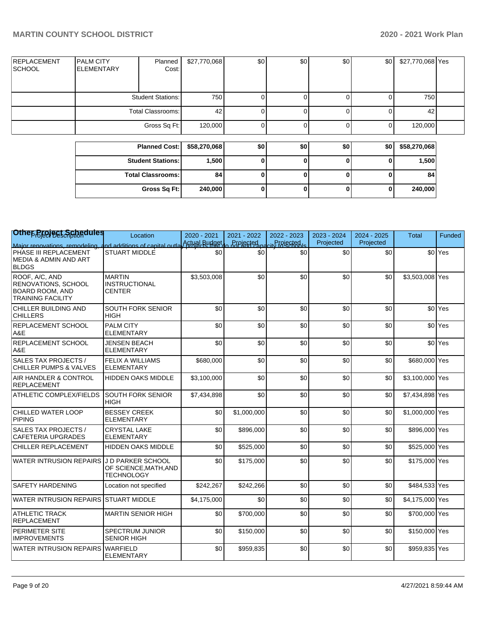| <b>REPLACEMENT</b><br><b>SCHOOL</b> | <b>PALM CITY</b><br><b>ELEMENTARY</b> | Planned<br>Cost:         | \$27,770,068 | \$0 | \$0 | \$0 | \$0 | \$27,770,068 Yes |  |
|-------------------------------------|---------------------------------------|--------------------------|--------------|-----|-----|-----|-----|------------------|--|
|                                     |                                       | <b>Student Stations:</b> | 750          |     |     |     |     | 750              |  |
|                                     |                                       | Total Classrooms:        | 42           |     |     |     |     | 42               |  |
|                                     |                                       | Gross Sq Ft:             | 120,000      |     |     |     |     | 120,000          |  |
|                                     |                                       |                          |              |     |     |     |     |                  |  |

| Planned Cost:   \$58,270,068 |         | \$0 | \$0 | \$0 | \$0 | \$58,270,068 |
|------------------------------|---------|-----|-----|-----|-----|--------------|
| <b>Student Stations:</b>     | 1,500   |     |     |     | o   | 1,500        |
| <b>Total Classrooms: I</b>   | 84      |     |     |     | U   | 84           |
| Gross Sq Ft:                 | 240,000 |     |     | U   | 0   | 240,000      |

| Othep <sub>o</sub> eeject Schedules                                                                | Location                                                        | 2020 - 2021 | 2021 - 2022      | 2022 - 2023   | 2023 - 2024 | 2024 - 2025 | <b>Total</b>    | Funded             |
|----------------------------------------------------------------------------------------------------|-----------------------------------------------------------------|-------------|------------------|---------------|-------------|-------------|-----------------|--------------------|
| Maior renovations remodeling a                                                                     | nd additions of capital outla Actual Budget                     |             | <b>Projected</b> | ity Projected | Projected   | Projected   |                 |                    |
| PHASE III REPLACEMENT<br>MEDIA & ADMIN AND ART<br><b>BLDGS</b>                                     | STUART MIDDLE                                                   | \$0         | \$0              | \$0           | \$0         | \$0         |                 | \$0 <sup>Yes</sup> |
| ROOF, A/C, AND<br><b>RENOVATIONS, SCHOOL</b><br><b>BOARD ROOM, AND</b><br><b>TRAINING FACILITY</b> | <b>MARTIN</b><br><b>INSTRUCTIONAL</b><br><b>CENTER</b>          | \$3,503,008 | \$0              | \$0           | \$0         | \$0         | \$3,503,008 Yes |                    |
| CHILLER BUILDING AND<br><b>CHILLERS</b>                                                            | SOUTH FORK SENIOR<br><b>HIGH</b>                                | \$0         | \$0              | \$0           | \$0         | \$0         |                 | \$0 <sup>Yes</sup> |
| <b>REPLACEMENT SCHOOL</b><br>A&E                                                                   | <b>PALM CITY</b><br><b>ELEMENTARY</b>                           | \$0         | \$0              | \$0           | \$0         | \$0         |                 | \$0 <sup>Yes</sup> |
| <b>REPLACEMENT SCHOOL</b><br>A&E                                                                   | <b>JENSEN BEACH</b><br><b>ELEMENTARY</b>                        | \$0         | \$0              | \$0           | \$0         | \$0         |                 | \$0 <sup>Yes</sup> |
| <b>SALES TAX PROJECTS /</b><br><b>CHILLER PUMPS &amp; VALVES</b>                                   | <b>FELIX A WILLIAMS</b><br><b>ELEMENTARY</b>                    | \$680,000   | \$0              | \$0           | \$0         | \$0         | \$680,000 Yes   |                    |
| <b>AIR HANDLER &amp; CONTROL</b><br>REPLACEMENT                                                    | <b>HIDDEN OAKS MIDDLE</b>                                       | \$3,100,000 | \$0              | \$0           | \$0         | \$0         | \$3,100,000 Yes |                    |
| <b>ATHLETIC COMPLEX/FIELDS</b>                                                                     | SOUTH FORK SENIOR<br><b>HIGH</b>                                | \$7,434,898 | \$0              | \$0           | \$0         | \$0         | \$7,434,898 Yes |                    |
| CHILLED WATER LOOP<br>PIPING                                                                       | <b>BESSEY CREEK</b><br><b>ELEMENTARY</b>                        | \$0         | \$1,000,000      | \$0           | \$0         | \$0         | \$1,000,000 Yes |                    |
| <b>SALES TAX PROJECTS /</b><br><b>CAFETERIA UPGRADES</b>                                           | <b>CRYSTAL LAKE</b><br><b>ELEMENTARY</b>                        | \$0         | \$896,000        | \$0           | \$0         | \$0         | \$896,000 Yes   |                    |
| CHILLER REPLACEMENT                                                                                | <b>HIDDEN OAKS MIDDLE</b>                                       | \$0         | \$525,000        | \$0           | \$0         | \$0         | \$525,000 Yes   |                    |
| <b>WATER INTRUSION REPAIRS</b>                                                                     | J D PARKER SCHOOL<br>OF SCIENCE, MATH, AND<br><b>TECHNOLOGY</b> | \$0         | \$175,000        | \$0           | \$0         | \$0         | \$175,000 Yes   |                    |
| <b>SAFETY HARDENING</b>                                                                            | Location not specified                                          | \$242,267   | \$242,266        | \$0           | \$0         | \$0         | \$484,533 Yes   |                    |
| WATER INTRUSION REPAIRS STUART MIDDLE                                                              |                                                                 | \$4,175,000 | \$0              | \$0           | \$0         | \$0         | \$4,175,000 Yes |                    |
| ATHLETIC TRACK<br>REPLACEMENT                                                                      | <b>MARTIN SENIOR HIGH</b>                                       | \$0         | \$700.000        | \$0           | \$0         | \$0         | \$700,000 Yes   |                    |
| <b>PERIMETER SITE</b><br><b>IMPROVEMENTS</b>                                                       | <b>SPECTRUM JUNIOR</b><br><b>SENIOR HIGH</b>                    | \$0         | \$150,000        | \$0           | \$0         | \$0         | \$150,000 Yes   |                    |
| WATER INTRUSION REPAIRS I                                                                          | <b>WARFIELD</b><br><b>ELEMENTARY</b>                            | \$0         | \$959,835        | \$0           | \$0         | \$0         | \$959,835 Yes   |                    |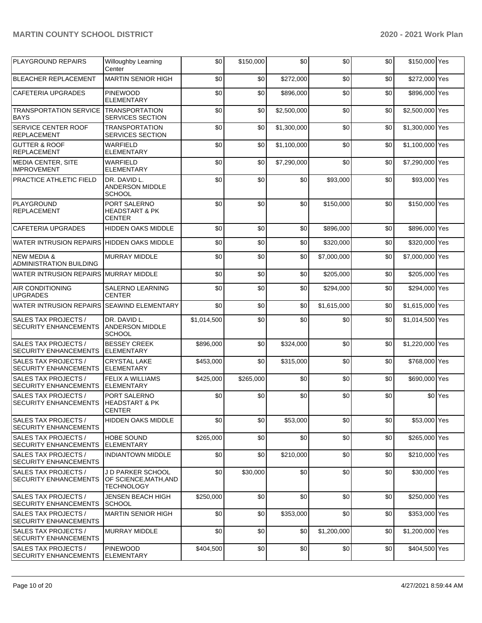# **MARTIN COUNTY SCHOOL DISTRICT 2020 - 2021 Work Plan**

| PLAYGROUND REPAIRS                                       | <b>Willoughby Learning</b><br>Center                          | \$0         | \$150,000 | \$0         | \$0         | \$0 | \$150,000 Yes   |         |
|----------------------------------------------------------|---------------------------------------------------------------|-------------|-----------|-------------|-------------|-----|-----------------|---------|
| <b>BLEACHER REPLACEMENT</b>                              | <b>MARTIN SENIOR HIGH</b>                                     | \$0         | \$0       | \$272,000   | \$0         | \$0 | \$272,000 Yes   |         |
| <b>CAFETERIA UPGRADES</b>                                | <b>PINEWOOD</b><br><b>ELEMENTARY</b>                          | \$0         | \$0       | \$896,000   | \$0         | \$0 | \$896,000 Yes   |         |
| <b>TRANSPORTATION SERVICE</b><br><b>BAYS</b>             | <b>TRANSPORTATION</b><br><b>SERVICES SECTION</b>              | \$0         | \$0       | \$2,500,000 | \$0         | \$0 | \$2,500,000 Yes |         |
| SERVICE CENTER ROOF<br><b>REPLACEMENT</b>                | <b>TRANSPORTATION</b><br>SERVICES SECTION                     | \$0         | \$0       | \$1,300,000 | \$0         | \$0 | \$1,300,000 Yes |         |
| <b>GUTTER &amp; ROOF</b><br><b>REPLACEMENT</b>           | <b>WARFIELD</b><br><b>ELEMENTARY</b>                          | \$0         | \$0       | \$1,100,000 | \$0         | \$0 | \$1,100,000 Yes |         |
| MEDIA CENTER, SITE<br><b>IMPROVEMENT</b>                 | <b>WARFIELD</b><br><b>ELEMENTARY</b>                          | \$0         | \$0       | \$7,290,000 | \$0         | \$0 | \$7,290,000 Yes |         |
| <b>PRACTICE ATHLETIC FIELD</b>                           | DR. DAVID L.<br>ANDERSON MIDDLE<br><b>SCHOOL</b>              | \$0         | \$0       | \$0         | \$93,000    | \$0 | \$93,000 Yes    |         |
| PLAYGROUND<br><b>REPLACEMENT</b>                         | PORT SALERNO<br><b>HEADSTART &amp; PK</b><br><b>CENTER</b>    | \$0         | \$0       | \$0         | \$150,000   | \$0 | \$150,000 Yes   |         |
| CAFETERIA UPGRADES                                       | <b>HIDDEN OAKS MIDDLE</b>                                     | \$0         | \$0       | \$0         | \$896,000   | \$0 | \$896,000 Yes   |         |
| WATER INTRUSION REPAIRS HIDDEN OAKS MIDDLE               |                                                               | \$0         | \$0       | \$0         | \$320,000   | \$0 | \$320,000 Yes   |         |
| <b>NEW MEDIA &amp;</b><br><b>ADMINISTRATION BUILDING</b> | <b>MURRAY MIDDLE</b>                                          | \$0         | \$0       | \$0         | \$7.000.000 | \$0 | \$7,000,000 Yes |         |
| WATER INTRUSION REPAIRS MURRAY MIDDLE                    |                                                               | \$0         | \$0       | \$0         | \$205,000   | \$0 | \$205,000 Yes   |         |
| <b>AIR CONDITIONING</b><br><b>UPGRADES</b>               | <b>SALERNO LEARNING</b><br><b>CENTER</b>                      | \$0         | \$0       | \$0         | \$294,000   | \$0 | \$294,000 Yes   |         |
| WATER INTRUSION REPAIRS SEAWIND ELEMENTARY               |                                                               | \$0         | \$0       | \$0         | \$1,615,000 | \$0 | \$1,615,000 Yes |         |
| SALES TAX PROJECTS /<br><b>SECURITY ENHANCEMENTS</b>     | DR. DAVID L.<br>ANDERSON MIDDLE<br><b>SCHOOL</b>              | \$1,014,500 | \$0       | \$0         | \$0         | \$0 | \$1,014,500 Yes |         |
| SALES TAX PROJECTS /<br><b>SECURITY ENHANCEMENTS</b>     | <b>BESSEY CREEK</b><br><b>ELEMENTARY</b>                      | \$896,000   | \$0       | \$324,000   | \$0         | \$0 | \$1,220,000 Yes |         |
| SALES TAX PROJECTS /<br><b>SECURITY ENHANCEMENTS</b>     | <b>CRYSTAL LAKE</b><br><b>ELEMENTARY</b>                      | \$453,000   | \$0       | \$315,000   | \$0         | \$0 | \$768,000 Yes   |         |
| SALES TAX PROJECTS /<br><b>SECURITY ENHANCEMENTS</b>     | <b>FELIX A WILLIAMS</b><br><b>ELEMENTARY</b>                  | \$425,000   | \$265,000 | \$0         | \$0         | \$0 | \$690,000 Yes   |         |
| SALES TAX PROJECTS /<br><b>SECURITY ENHANCEMENTS</b>     | PORT SALERNO<br><b>HEADSTART &amp; PK</b><br><b>CENTER</b>    | \$0         | \$0       | \$0         | \$0         | \$0 |                 | \$0 Yes |
| SALES TAX PROJECTS /<br><b>SECURITY ENHANCEMENTS</b>     | <b>HIDDEN OAKS MIDDLE</b>                                     | \$0         | \$0       | \$53.000    | \$0         | \$0 | \$53,000 Yes    |         |
| SALES TAX PROJECTS /<br><b>SECURITY ENHANCEMENTS</b>     | <b>HOBE SOUND</b><br><b>ELEMENTARY</b>                        | \$265,000   | \$0       | \$0         | \$0         | \$0 | \$265,000 Yes   |         |
| SALES TAX PROJECTS /<br><b>SECURITY ENHANCEMENTS</b>     | <b>INDIANTOWN MIDDLE</b>                                      | \$0         | \$0       | \$210,000   | \$0         | \$0 | \$210,000 Yes   |         |
| SALES TAX PROJECTS /<br><b>SECURITY ENHANCEMENTS</b>     | J D PARKER SCHOOL<br>OF SCIENCE.MATH.AND<br><b>TECHNOLOGY</b> | \$0         | \$30,000  | \$0         | \$0         | \$0 | \$30,000 Yes    |         |
| SALES TAX PROJECTS /<br><b>SECURITY ENHANCEMENTS</b>     | JENSEN BEACH HIGH<br><b>SCHOOL</b>                            | \$250.000   | \$0       | \$0         | \$0         | \$0 | \$250,000 Yes   |         |
| SALES TAX PROJECTS /<br><b>SECURITY ENHANCEMENTS</b>     | <b>MARTIN SENIOR HIGH</b>                                     | \$0         | \$0       | \$353,000   | \$0         | \$0 | \$353,000 Yes   |         |
| SALES TAX PROJECTS /<br><b>SECURITY ENHANCEMENTS</b>     | MURRAY MIDDLE                                                 | \$0         | \$0       | \$0         | \$1,200,000 | \$0 | \$1,200,000 Yes |         |
| SALES TAX PROJECTS /<br><b>SECURITY ENHANCEMENTS</b>     | <b>PINEWOOD</b><br><b>ELEMENTARY</b>                          | \$404,500   | \$0       | \$0         | \$0         | \$0 | \$404,500 Yes   |         |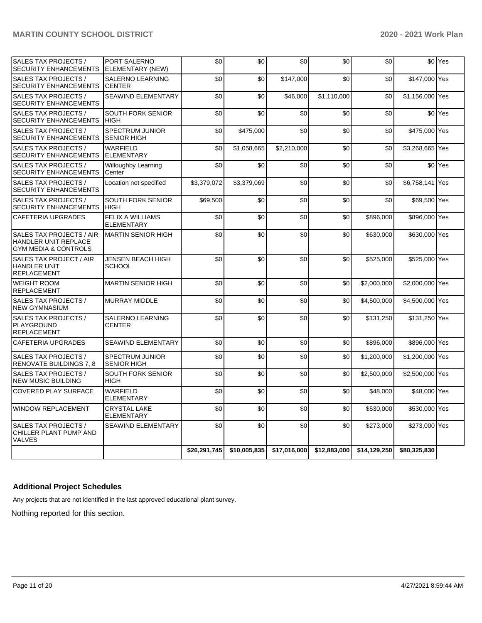| SALES TAX PROJECTS /<br><b>SECURITY ENHANCEMENTS</b>                                       | PORT SALERNO<br>ELEMENTARY (NEW)             | \$0          | \$0          | \$0          | \$0          | \$0          |                 | \$0 <sup>Yes</sup> |
|--------------------------------------------------------------------------------------------|----------------------------------------------|--------------|--------------|--------------|--------------|--------------|-----------------|--------------------|
| SALES TAX PROJECTS /<br><b>SECURITY ENHANCEMENTS</b>                                       | <b>SALERNO LEARNING</b><br><b>CENTER</b>     | \$0          | \$0          | \$147,000    | \$0          | \$0          | \$147,000 Yes   |                    |
| SALES TAX PROJECTS /<br><b>SECURITY ENHANCEMENTS</b>                                       | SEAWIND ELEMENTARY                           | \$0          | \$0          | \$46,000     | \$1,110,000  | \$0          | \$1,156,000 Yes |                    |
| SALES TAX PROJECTS /<br><b>SECURITY ENHANCEMENTS</b>                                       | <b>SOUTH FORK SENIOR</b><br><b>HIGH</b>      | \$0          | \$0          | \$0          | \$0          | \$0          |                 | \$0 <sup>Yes</sup> |
| SALES TAX PROJECTS /<br><b>SECURITY ENHANCEMENTS</b>                                       | <b>SPECTRUM JUNIOR</b><br><b>SENIOR HIGH</b> | \$0          | \$475,000    | \$0          | \$0          | \$0          | \$475,000 Yes   |                    |
| SALES TAX PROJECTS /<br><b>SECURITY ENHANCEMENTS</b>                                       | <b>WARFIELD</b><br><b>ELEMENTARY</b>         | \$0          | \$1,058,665  | \$2,210,000  | \$0          | \$0          | \$3,268,665 Yes |                    |
| SALES TAX PROJECTS /<br><b>SECURITY ENHANCEMENTS</b>                                       | <b>Willoughby Learning</b><br>Center         | \$0          | \$0          | \$0          | \$0          | \$0          |                 | \$0 <sup>Yes</sup> |
| SALES TAX PROJECTS /<br><b>SECURITY ENHANCEMENTS</b>                                       | Location not specified                       | \$3,379,072  | \$3,379,069  | \$0          | \$0          | \$0          | \$6,758,141     | Yes                |
| SALES TAX PROJECTS /<br><b>SECURITY ENHANCEMENTS</b>                                       | <b>SOUTH FORK SENIOR</b><br><b>HIGH</b>      | \$69,500     | \$0          | \$0          | \$0          | \$0          | \$69,500 Yes    |                    |
| <b>CAFETERIA UPGRADES</b>                                                                  | <b>FELIX A WILLIAMS</b><br><b>ELEMENTARY</b> | \$0          | \$0          | \$0          | \$0          | \$896,000    | \$896,000 Yes   |                    |
| SALES TAX PROJECTS / AIR<br><b>HANDLER UNIT REPLACE</b><br><b>GYM MEDIA &amp; CONTROLS</b> | <b>MARTIN SENIOR HIGH</b>                    | \$0          | \$0          | \$0          | \$0          | \$630.000    | \$630,000 Yes   |                    |
| SALES TAX PROJECT / AIR<br><b>HANDLER UNIT</b><br><b>REPLACEMENT</b>                       | <b>JENSEN BEACH HIGH</b><br><b>SCHOOL</b>    | \$0          | \$0          | \$0          | \$0          | \$525,000    | \$525,000 Yes   |                    |
| <b>WEIGHT ROOM</b><br><b>REPLACEMENT</b>                                                   | <b>MARTIN SENIOR HIGH</b>                    | \$0          | \$0          | \$0          | \$0          | \$2,000,000  | \$2,000,000 Yes |                    |
| SALES TAX PROJECTS /<br><b>NEW GYMNASIUM</b>                                               | <b>MURRAY MIDDLE</b>                         | \$0          | \$0          | \$0          | \$0          | \$4,500,000  | \$4,500,000 Yes |                    |
| SALES TAX PROJECTS /<br>PLAYGROUND<br><b>REPLACEMENT</b>                                   | <b>SALERNO LEARNING</b><br><b>CENTER</b>     | \$0          | \$0          | \$0          | \$0          | \$131,250    | \$131,250 Yes   |                    |
| <b>CAFETERIA UPGRADES</b>                                                                  | <b>SEAWIND ELEMENTARY</b>                    | \$0          | \$0          | \$0          | \$0          | \$896,000    | \$896,000 Yes   |                    |
| SALES TAX PROJECTS /<br>RENOVATE BUILDINGS 7, 8                                            | <b>SPECTRUM JUNIOR</b><br><b>SENIOR HIGH</b> | \$0          | \$0          | \$0          | \$0          | \$1,200,000  | \$1,200,000 Yes |                    |
| SALES TAX PROJECTS /<br><b>NEW MUSIC BUILDING</b>                                          | SOUTH FORK SENIOR<br><b>HIGH</b>             | \$0          | \$0          | \$0          | \$0          | \$2,500,000  | \$2,500,000 Yes |                    |
| <b>COVERED PLAY SURFACE</b>                                                                | <b>WARFIELD</b><br><b>ELEMENTARY</b>         | \$0          | \$0          | \$0          | \$0          | \$48,000     | \$48,000 Yes    |                    |
| <b>WINDOW REPLACEMENT</b>                                                                  | <b>CRYSTAL LAKE</b><br><b>ELEMENTARY</b>     | \$0          | \$0          | \$0          | \$0          | \$530,000    | \$530,000 Yes   |                    |
| SALES TAX PROJECTS /<br>CHILLER PLANT PUMP AND<br><b>VALVES</b>                            | <b>SEAWIND ELEMENTARY</b>                    | \$0          | \$0          | \$0          | \$0          | \$273.000    | \$273,000 Yes   |                    |
|                                                                                            |                                              | \$26,291,745 | \$10,005,835 | \$17,016,000 | \$12,883,000 | \$14,129,250 | \$80,325,830    |                    |

# **Additional Project Schedules**

Any projects that are not identified in the last approved educational plant survey.

Nothing reported for this section.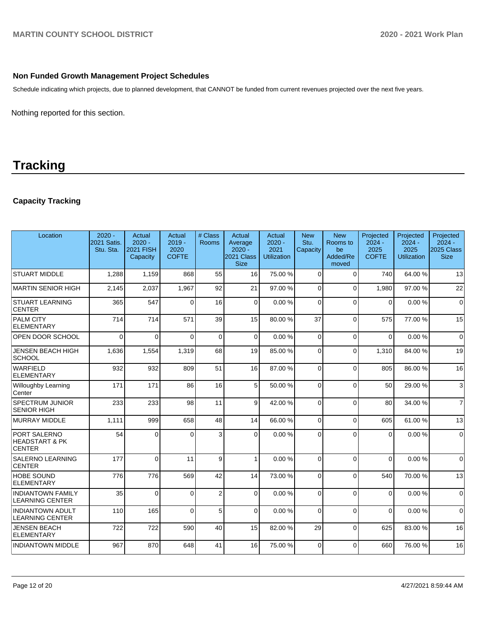# **Non Funded Growth Management Project Schedules**

Schedule indicating which projects, due to planned development, that CANNOT be funded from current revenues projected over the next five years.

Nothing reported for this section.

# **Tracking**

# **Capacity Tracking**

| Location                                                   | $2020 -$<br>2021 Satis.<br>Stu. Sta. | <b>Actual</b><br>$2020 -$<br><b>2021 FISH</b><br>Capacity | Actual<br>$2019 -$<br>2020<br><b>COFTE</b> | # Class<br><b>Rooms</b> | Actual<br>Average<br>$2020 -$<br>2021 Class<br><b>Size</b> | Actual<br>$2020 -$<br>2021<br><b>Utilization</b> | <b>New</b><br>Stu.<br>Capacity | <b>New</b><br>Rooms to<br>be<br>Added/Re<br>moved | Projected<br>$2024 -$<br>2025<br><b>COFTE</b> | Projected<br>$2024 -$<br>2025<br><b>Utilization</b> | Projected<br>$2024 -$<br>2025 Class<br><b>Size</b> |
|------------------------------------------------------------|--------------------------------------|-----------------------------------------------------------|--------------------------------------------|-------------------------|------------------------------------------------------------|--------------------------------------------------|--------------------------------|---------------------------------------------------|-----------------------------------------------|-----------------------------------------------------|----------------------------------------------------|
| <b>STUART MIDDLE</b>                                       | 1,288                                | 1,159                                                     | 868                                        | 55                      | 16                                                         | 75.00 %                                          | $\Omega$                       | $\Omega$                                          | 740                                           | 64.00 %                                             | 13                                                 |
| MARTIN SENIOR HIGH                                         | 2.145                                | 2,037                                                     | 1,967                                      | 92                      | 21                                                         | 97.00%                                           | 0                              | $\Omega$                                          | 1.980                                         | 97.00 %                                             | 22                                                 |
| <b>STUART LEARNING</b><br><b>CENTER</b>                    | 365                                  | 547                                                       | $\Omega$                                   | 16                      | $\Omega$                                                   | 0.00%                                            | $\Omega$                       | $\Omega$                                          | $\Omega$                                      | 0.00%                                               | $\mathbf 0$                                        |
| <b>PALM CITY</b><br><b>ELEMENTARY</b>                      | 714                                  | 714                                                       | 571                                        | 39                      | 15                                                         | 80.00%                                           | 37                             | $\Omega$                                          | 575                                           | 77.00 %                                             | 15                                                 |
| <b>OPEN DOOR SCHOOL</b>                                    | $\mathbf{0}$                         | $\Omega$                                                  | $\Omega$                                   | $\Omega$                | $\Omega$                                                   | 0.00%                                            | $\Omega$                       | $\Omega$                                          | $\mathbf{0}$                                  | 0.00%                                               | $\mathbf 0$                                        |
| <b>JENSEN BEACH HIGH</b><br><b>SCHOOL</b>                  | 1,636                                | 1,554                                                     | 1,319                                      | 68                      | 19                                                         | 85.00 %                                          | $\Omega$                       | $\Omega$                                          | 1,310                                         | 84.00 %                                             | 19                                                 |
| <b>WARFIELD</b><br><b>ELEMENTARY</b>                       | 932                                  | 932                                                       | 809                                        | 51                      | 16                                                         | 87.00 %                                          | $\Omega$                       | $\Omega$                                          | 805                                           | 86.00 %                                             | 16                                                 |
| <b>Willoughby Learning</b><br>Center                       | 171                                  | 171                                                       | 86                                         | 16                      | 5                                                          | 50.00 %                                          | $\Omega$                       | $\Omega$                                          | 50                                            | 29.00 %                                             | 3                                                  |
| <b>SPECTRUM JUNIOR</b><br><b>SENIOR HIGH</b>               | 233                                  | 233                                                       | 98                                         | 11                      | 9                                                          | 42.00 %                                          | $\Omega$                       | $\Omega$                                          | 80                                            | 34.00 %                                             | $\overline{7}$                                     |
| MURRAY MIDDLE                                              | 1,111                                | 999                                                       | 658                                        | 48                      | 14                                                         | 66.00 %                                          | $\Omega$                       | $\Omega$                                          | 605                                           | 61.00 %                                             | 13                                                 |
| PORT SALERNO<br><b>HEADSTART &amp; PK</b><br><b>CENTER</b> | 54                                   | $\overline{0}$                                            | $\Omega$                                   | 3                       | $\Omega$                                                   | 0.00%                                            | $\Omega$                       | $\Omega$                                          | $\mathbf{0}$                                  | 0.00%                                               | $\mathbf 0$                                        |
| <b>SALERNO LEARNING</b><br><b>CENTER</b>                   | 177                                  | $\mathbf{0}$                                              | 11                                         | 9                       | $\mathbf{1}$                                               | 0.00%                                            | $\Omega$                       | $\Omega$                                          | $\Omega$                                      | 0.00%                                               | $\Omega$                                           |
| <b>HOBE SOUND</b><br><b>ELEMENTARY</b>                     | 776                                  | 776                                                       | 569                                        | 42                      | 14                                                         | 73.00 %                                          | $\Omega$                       | $\Omega$                                          | 540                                           | 70.00%                                              | 13                                                 |
| <b>INDIANTOWN FAMILY</b><br><b>LEARNING CENTER</b>         | 35                                   | $\Omega$                                                  | $\Omega$                                   | $\overline{c}$          | $\Omega$                                                   | 0.00%                                            | $\Omega$                       | $\Omega$                                          | $\Omega$                                      | 0.00%                                               | $\Omega$                                           |
| <b>INDIANTOWN ADULT</b><br><b>LEARNING CENTER</b>          | 110                                  | 165                                                       | $\Omega$                                   | 5                       | $\Omega$                                                   | 0.00%                                            | $\Omega$                       | $\Omega$                                          | $\Omega$                                      | 0.00%                                               | $\Omega$                                           |
| <b>JENSEN BEACH</b><br><b>ELEMENTARY</b>                   | 722                                  | 722                                                       | 590                                        | 40                      | 15                                                         | 82.00 %                                          | 29                             | $\Omega$                                          | 625                                           | 83.00 %                                             | 16                                                 |
| <b>INDIANTOWN MIDDLE</b>                                   | 967                                  | 870                                                       | 648                                        | 41                      | 16                                                         | 75.00 %                                          | $\Omega$                       | $\Omega$                                          | 660                                           | 76.00 %                                             | 16                                                 |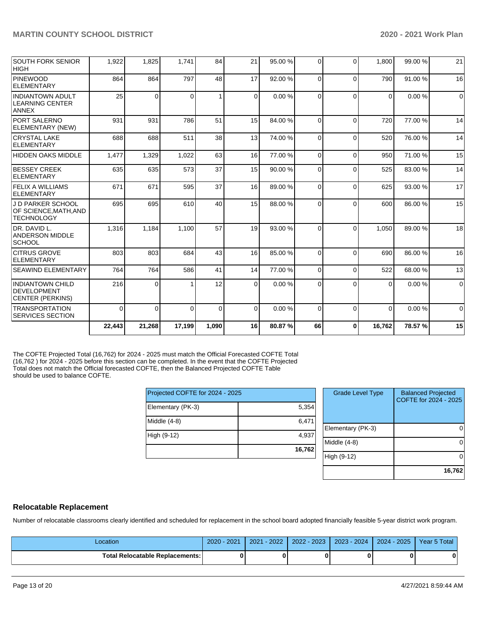|                                                                        | 22,443   | 21,268   | 17,199 | 1,090    | 16       | 80.87%  | 66       | $\bf{0}$ | 16,762   | 78.57%  | 15          |
|------------------------------------------------------------------------|----------|----------|--------|----------|----------|---------|----------|----------|----------|---------|-------------|
| <b>TRANSPORTATION</b><br><b>SERVICES SECTION</b>                       | $\Omega$ | 0        | 0      | $\Omega$ | $\Omega$ | 0.00%   | $\Omega$ | $\Omega$ | $\Omega$ | 0.00%   | $\Omega$    |
| <b>INDIANTOWN CHILD</b><br>DEVELOPMENT<br><b>CENTER (PERKINS)</b>      | 216      | $\Omega$ |        | 12       | $\Omega$ | 0.00%   | $\Omega$ | $\Omega$ | $\Omega$ | 0.00%   | $\mathbf 0$ |
| <b>SEAWIND ELEMENTARY</b>                                              | 764      | 764      | 586    | 41       | 14       | 77.00 % | $\Omega$ | $\Omega$ | 522      | 68.00 % | 13          |
| <b>CITRUS GROVE</b><br>ELEMENTARY                                      | 803      | 803      | 684    | 43       | 16       | 85.00 % | $\Omega$ | $\Omega$ | 690      | 86.00 % | 16          |
| DR. DAVID L.<br><b>ANDERSON MIDDLE</b><br><b>SCHOOL</b>                | 1.316    | 1.184    | 1.100  | 57       | 19       | 93.00 % | $\Omega$ | $\Omega$ | 1.050    | 89.00 % | 18          |
| <b>J D PARKER SCHOOL</b><br>OF SCIENCE, MATH, AND<br><b>TECHNOLOGY</b> | 695      | 695      | 610    | 40       | 15       | 88.00 % | $\Omega$ | $\Omega$ | 600      | 86.00 % | 15          |
| <b>FELIX A WILLIAMS</b><br>ELEMENTARY                                  | 671      | 671      | 595    | 37       | 16       | 89.00 % | $\Omega$ | $\Omega$ | 625      | 93.00 % | 17          |
| <b>BESSEY CREEK</b><br>ELEMENTARY                                      | 635      | 635      | 573    | 37       | 15       | 90.00 % | $\Omega$ | $\Omega$ | 525      | 83.00 % | 14          |
| HIDDEN OAKS MIDDLE                                                     | 1,477    | 1,329    | 1,022  | 63       | 16       | 77.00 % | $\Omega$ | $\Omega$ | 950      | 71.00 % | 15          |
| <b>CRYSTAL LAKE</b><br>ELEMENTARY                                      | 688      | 688      | 511    | 38       | 13       | 74.00 % | $\Omega$ | $\Omega$ | 520      | 76.00 % | 14          |
| <b>PORT SALERNO</b><br>ELEMENTARY (NEW)                                | 931      | 931      | 786    | 51       | 15       | 84.00 % | $\Omega$ | $\Omega$ | 720      | 77.00 % | 14          |
| <b>INDIANTOWN ADULT</b><br><b>LEARNING CENTER</b><br><b>ANNEX</b>      | 25       | $\Omega$ | 0      | 1        | $\Omega$ | 0.00%   | $\Omega$ | $\Omega$ | $\Omega$ | 0.00%   | $\Omega$    |
| PINEWOOD<br><b>ELEMENTARY</b>                                          | 864      | 864      | 797    | 48       | 17       | 92.00 % | $\Omega$ | $\Omega$ | 790      | 91.00 % | 16          |
| <b>SOUTH FORK SENIOR</b><br> HIGH                                      | 1,922    | 1,825    | 1.741  | 84       | 21       | 95.00 % | $\Omega$ | $\Omega$ | 1.800    | 99.00 % | 21          |

The COFTE Projected Total (16,762) for 2024 - 2025 must match the Official Forecasted COFTE Total (16,762 ) for 2024 - 2025 before this section can be completed. In the event that the COFTE Projected Total does not match the Official forecasted COFTE, then the Balanced Projected COFTE Table should be used to balance COFTE.

| Projected COFTE for 2024 - 2025 |        |
|---------------------------------|--------|
| Elementary (PK-3)               | 5,354  |
| Middle (4-8)                    | 6,471  |
| High (9-12)                     | 4,937  |
|                                 | 16,762 |

| <b>Grade Level Type</b> | <b>Balanced Projected</b><br>COFTE for 2024 - 2025 |
|-------------------------|----------------------------------------------------|
| Elementary (PK-3)       |                                                    |
| Middle $(4-8)$          |                                                    |
| High (9-12)             |                                                    |
|                         | 16,762                                             |

# **Relocatable Replacement**

Number of relocatable classrooms clearly identified and scheduled for replacement in the school board adopted financially feasible 5-year district work program.

| Location                        | 2021<br>$2020 - 1$ | $-2022$<br>2021 | $2022 - 2023$ | 2023 - 2024 | $2024 - 2025$ | <b>Year 5 Total</b> |
|---------------------------------|--------------------|-----------------|---------------|-------------|---------------|---------------------|
| Total Relocatable Replacements: |                    |                 |               |             |               |                     |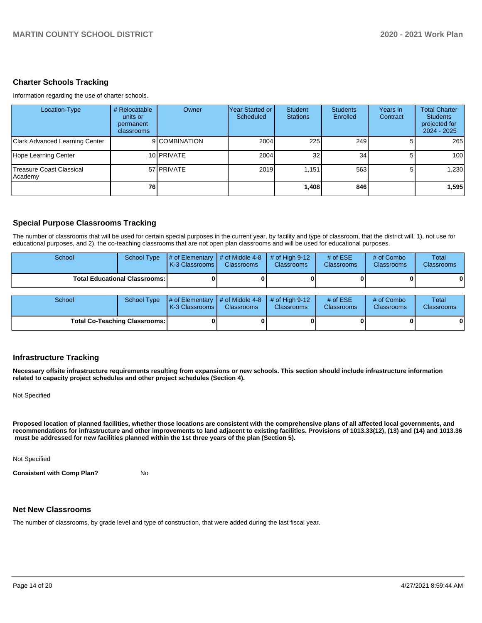### **Charter Schools Tracking**

Information regarding the use of charter schools.

| Location-Type                              | # Relocatable<br>units or<br>permanent<br>classrooms | Owner         | Year Started or<br>Scheduled | <b>Student</b><br><b>Stations</b> | <b>Students</b><br>Enrolled | Years in<br>Contract | <b>Total Charter</b><br><b>Students</b><br>projected for<br>2024 - 2025 |
|--------------------------------------------|------------------------------------------------------|---------------|------------------------------|-----------------------------------|-----------------------------|----------------------|-------------------------------------------------------------------------|
| <b>Clark Advanced Learning Center</b>      |                                                      | 9 COMBINATION | 2004                         | 225                               | 249                         |                      | 265                                                                     |
| Hope Learning Center                       |                                                      | 10 PRIVATE    | 2004                         | 32                                | 34                          |                      | 100                                                                     |
| <b>Treasure Coast Classical</b><br>Academy |                                                      | 57 PRIVATE    | 2019                         | 1.151                             | 563                         |                      | 1,230                                                                   |
|                                            | 76 I                                                 |               |                              | 1,408                             | 846 l                       |                      | 1,595                                                                   |

## **Special Purpose Classrooms Tracking**

The number of classrooms that will be used for certain special purposes in the current year, by facility and type of classroom, that the district will, 1), not use for educational purposes, and 2), the co-teaching classrooms that are not open plan classrooms and will be used for educational purposes.

| School                               | <b>School Type</b> | # of Elementary<br>K-3 Classrooms | $#$ of Middle 4-8<br><b>Classrooms</b> | # of High $9-12$<br><b>Classrooms</b> | # of $ESE$<br>Classrooms | # of Combo<br><b>Classrooms</b> | Total<br><b>Classrooms</b> |
|--------------------------------------|--------------------|-----------------------------------|----------------------------------------|---------------------------------------|--------------------------|---------------------------------|----------------------------|
| Total Educational Classrooms: I      |                    |                                   |                                        |                                       |                          |                                 | 0                          |
| School                               | <b>School Type</b> | # of Elementary<br>K-3 Classrooms | $#$ of Middle 4-8<br><b>Classrooms</b> | # of High $9-12$<br><b>Classrooms</b> | # of $ESE$<br>Classrooms | # of Combo<br><b>Classrooms</b> | Total<br><b>Classrooms</b> |
| <b>Total Co-Teaching Classrooms:</b> |                    |                                   |                                        |                                       |                          |                                 | 0                          |

### **Infrastructure Tracking**

**Necessary offsite infrastructure requirements resulting from expansions or new schools. This section should include infrastructure information related to capacity project schedules and other project schedules (Section 4).** 

Not Specified

**Proposed location of planned facilities, whether those locations are consistent with the comprehensive plans of all affected local governments, and recommendations for infrastructure and other improvements to land adjacent to existing facilities. Provisions of 1013.33(12), (13) and (14) and 1013.36 must be addressed for new facilities planned within the 1st three years of the plan (Section 5).** 

Not Specified

**Consistent with Comp Plan?** No

### **Net New Classrooms**

The number of classrooms, by grade level and type of construction, that were added during the last fiscal year.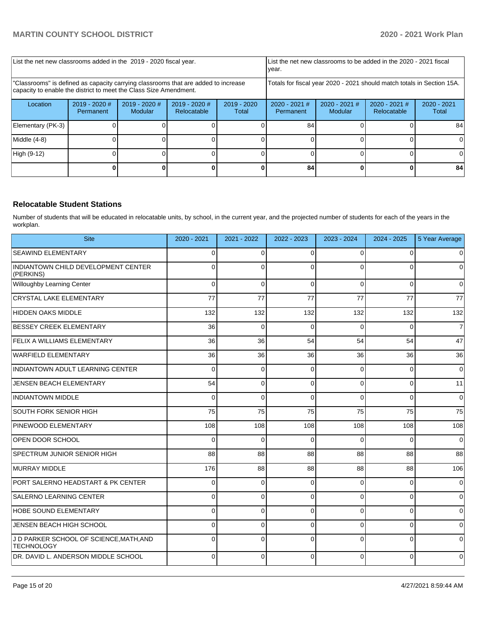| List the net new classrooms added in the 2019 - 2020 fiscal year.                                                                                       |                              |                            |                              |                                                                        | year.                        |                            | List the net new classrooms to be added in the 2020 - 2021 fiscal |                        |
|---------------------------------------------------------------------------------------------------------------------------------------------------------|------------------------------|----------------------------|------------------------------|------------------------------------------------------------------------|------------------------------|----------------------------|-------------------------------------------------------------------|------------------------|
| "Classrooms" is defined as capacity carrying classrooms that are added to increase<br>capacity to enable the district to meet the Class Size Amendment. |                              |                            |                              | Totals for fiscal year 2020 - 2021 should match totals in Section 15A. |                              |                            |                                                                   |                        |
| Location                                                                                                                                                | $2019 - 2020$ #<br>Permanent | $2019 - 2020$ #<br>Modular | 2019 - 2020 #<br>Relocatable | $2019 - 2020$<br>Total                                                 | $2020 - 2021$ #<br>Permanent | $2020 - 2021$ #<br>Modular | $2020 - 2021$ #<br>Relocatable                                    | $2020 - 2021$<br>Total |
| Elementary (PK-3)                                                                                                                                       |                              |                            |                              |                                                                        | 84                           |                            |                                                                   | 84                     |
| Middle (4-8)                                                                                                                                            |                              |                            |                              |                                                                        |                              |                            |                                                                   |                        |
| High (9-12)                                                                                                                                             |                              |                            |                              |                                                                        |                              |                            |                                                                   | ΩI                     |
|                                                                                                                                                         |                              |                            |                              |                                                                        | 84                           |                            |                                                                   | 84                     |

# **Relocatable Student Stations**

Number of students that will be educated in relocatable units, by school, in the current year, and the projected number of students for each of the years in the workplan.

| <b>Site</b>                                                  | 2020 - 2021 | 2021 - 2022 | 2022 - 2023 | 2023 - 2024 | $2024 - 2025$  | 5 Year Average |
|--------------------------------------------------------------|-------------|-------------|-------------|-------------|----------------|----------------|
| <b>SEAWIND ELEMENTARY</b>                                    | $\Omega$    | $\Omega$    | $\Omega$    | $\Omega$    | $\Omega$       | $\overline{0}$ |
| INDIANTOWN CHILD DEVELOPMENT CENTER<br>(PERKINS)             | $\Omega$    | $\Omega$    | $\Omega$    | $\Omega$    | $\Omega$       | $\Omega$       |
| Willoughby Learning Center                                   | 0           | $\Omega$    | $\Omega$    | $\Omega$    | $\Omega$       | $\overline{0}$ |
| CRYSTAL LAKE ELEMENTARY                                      | 77          | 77          | 77          | 77          | 77             | 77             |
| HIDDEN OAKS MIDDLE                                           | 132         | 132         | 132         | 132         | 132            | 132            |
| <b>BESSEY CREEK ELEMENTARY</b>                               | 36          | $\Omega$    | $\Omega$    | $\Omega$    | 0              | $\overline{7}$ |
| <b>FELIX A WILLIAMS ELEMENTARY</b>                           | 36          | 36          | 54          | 54          | 54             | 47             |
| WARFIELD ELEMENTARY                                          | 36          | 36          | 36          | 36          | 36             | 36             |
| INDIANTOWN ADULT LEARNING CENTER                             | 0           | $\Omega$    | $\Omega$    | $\Omega$    | $\Omega$       | $\overline{0}$ |
| JENSEN BEACH ELEMENTARY                                      | 54          | $\Omega$    | $\Omega$    | $\Omega$    | $\Omega$       | 11             |
| <b>INDIANTOWN MIDDLE</b>                                     | 0           | $\Omega$    | $\Omega$    | $\Omega$    | $\Omega$       | $\overline{0}$ |
| SOUTH FORK SENIOR HIGH                                       | 75          | 75          | 75          | 75          | 75             | 75             |
| <b>PINEWOOD ELEMENTARY</b>                                   | 108         | 108         | 108         | 108         | 108            | 108            |
| OPEN DOOR SCHOOL                                             | $\Omega$    | $\Omega$    | $\Omega$    | $\Omega$    | $\Omega$       | $\overline{0}$ |
| SPECTRUM JUNIOR SENIOR HIGH                                  | 88          | 88          | 88          | 88          | 88             | 88             |
| MURRAY MIDDLE                                                | 176         | 88          | 88          | 88          | 88             | 106            |
| PORT SALERNO HEADSTART & PK CENTER                           | 0           | $\Omega$    | $\Omega$    | $\Omega$    | $\Omega$       | $\overline{0}$ |
| SALERNO LEARNING CENTER                                      | 0           | $\Omega$    | $\Omega$    | $\Omega$    | $\Omega$       | $\overline{0}$ |
| <b>HOBE SOUND ELEMENTARY</b>                                 | 0           | 0           | $\Omega$    | $\Omega$    | $\mathbf 0$    | $\overline{0}$ |
| JENSEN BEACH HIGH SCHOOL                                     | $\Omega$    | $\Omega$    | $\Omega$    | $\Omega$    | $\overline{0}$ | $\overline{0}$ |
| J D PARKER SCHOOL OF SCIENCE, MATH, AND<br><b>TECHNOLOGY</b> | 0           | $\Omega$    | $\Omega$    | $\Omega$    | $\Omega$       | $\Omega$       |
| DR. DAVID L. ANDERSON MIDDLE SCHOOL                          | 0           | $\Omega$    | $\Omega$    | $\Omega$    | $\mathbf 0$    | $\overline{0}$ |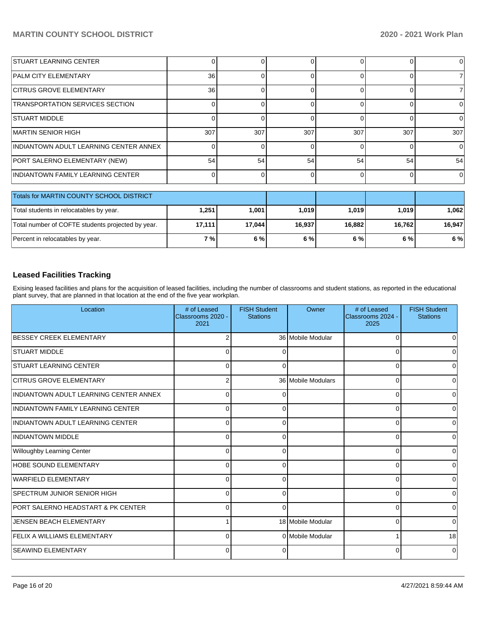| <b>STUART LEARNING CENTER</b>                 |                 |     |              |          |     | 0        |
|-----------------------------------------------|-----------------|-----|--------------|----------|-----|----------|
| <b>PALM CITY ELEMENTARY</b>                   | 36 <sup>1</sup> |     |              | 0        |     |          |
| <b>CITRUS GROVE ELEMENTARY</b>                | 36 <sup>1</sup> |     |              |          |     |          |
| <b>TRANSPORTATION SERVICES SECTION</b>        |                 |     |              |          |     | 0        |
| ISTUART MIDDLE                                |                 |     |              |          |     | 0        |
| <b>MARTIN SENIOR HIGH</b>                     | 307             | 307 | 307          | 307      | 307 | 307      |
| <b>INDIANTOWN ADULT LEARNING CENTER ANNEX</b> |                 |     |              |          |     | $\Omega$ |
| PORT SALERNO ELEMENTARY (NEW)                 | 54              | 54  | 54           | 54       | 54  | 54       |
| INDIANTOWN FAMILY LEARNING CENTER             |                 |     | <sup>n</sup> | $\Omega$ |     | $\Omega$ |
|                                               |                 |     |              |          |     |          |
| Totals for MARTIN COUNTY SCHOOL DISTRICT      |                 |     |              |          |     |          |
|                                               |                 |     |              |          |     |          |

| TULAIS IUI MARTIIN COUNTT SCHOOL DISTRICT         |        |         |        |        |         |        |
|---------------------------------------------------|--------|---------|--------|--------|---------|--------|
| Total students in relocatables by year.           | .251   | ا 1.001 | 1.019  | 1.019  | 1.019 l | .062   |
| Total number of COFTE students projected by year. | 17.111 | 17.044  | 16.937 | 16.882 | 16.762  | 16.947 |
| Percent in relocatables by year.                  | 7 % l  | 6%      | 6%     | 6%     | 6 % l   | 6 %    |

# **Leased Facilities Tracking**

Exising leased facilities and plans for the acquisition of leased facilities, including the number of classrooms and student stations, as reported in the educational plant survey, that are planned in that location at the end of the five year workplan.

| Location                                      | # of Leased<br>Classrooms 2020 -<br>2021 | <b>FISH Student</b><br><b>Stations</b> | Owner              | # of Leased<br>Classrooms 2024 -<br>2025 | <b>FISH Student</b><br><b>Stations</b> |
|-----------------------------------------------|------------------------------------------|----------------------------------------|--------------------|------------------------------------------|----------------------------------------|
| BESSEY CREEK ELEMENTARY                       | 2                                        |                                        | 36 Mobile Modular  | 0                                        |                                        |
| <b>STUART MIDDLE</b>                          | 0                                        | 0                                      |                    | 0                                        |                                        |
| <b>STUART LEARNING CENTER</b>                 | 0                                        | $\Omega$                               |                    | 0                                        | 0                                      |
| <b>CITRUS GROVE ELEMENTARY</b>                | 2                                        |                                        | 36 Mobile Modulars | 0                                        | U                                      |
| INDIANTOWN ADULT LEARNING CENTER ANNEX        | 0                                        | n                                      |                    | 0                                        |                                        |
| INDIANTOWN FAMILY LEARNING CENTER             | $\Omega$                                 | 0                                      |                    | 0                                        | U                                      |
| INDIANTOWN ADULT LEARNING CENTER              | 0                                        | 0                                      |                    | $\Omega$                                 | $\Omega$                               |
| <b>INDIANTOWN MIDDLE</b>                      | $\Omega$                                 | O                                      |                    | $\Omega$                                 | <sup>0</sup>                           |
| Willoughby Learning Center                    | 0                                        | ∩                                      |                    | $\Omega$                                 |                                        |
| HOBE SOUND ELEMENTARY                         | 0                                        |                                        |                    | $\Omega$                                 |                                        |
| WARFIELD ELEMENTARY                           | 0                                        | U                                      |                    | $\Omega$                                 |                                        |
| <b>ISPECTRUM JUNIOR SENIOR HIGH</b>           | 0                                        | U                                      |                    | $\Omega$                                 |                                        |
| <b>PORT SALERNO HEADSTART &amp; PK CENTER</b> | 0                                        | 0                                      |                    | 0                                        |                                        |
| JENSEN BEACH ELEMENTARY                       |                                          |                                        | 18 Mobile Modular  | 0                                        | 0                                      |
| FELIX A WILLIAMS ELEMENTARY                   | 0                                        |                                        | 0 Mobile Modular   | 1                                        | 18                                     |
| <b>SEAWIND ELEMENTARY</b>                     | $\Omega$                                 | $\Omega$                               |                    | $\Omega$                                 | $\Omega$                               |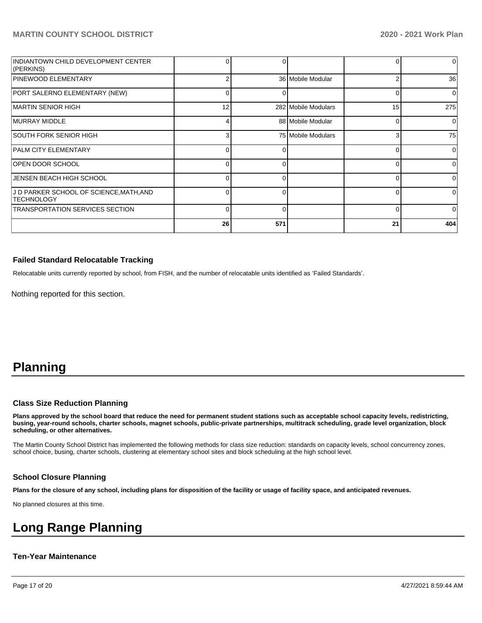| INDIANTOWN CHILD DEVELOPMENT CENTER<br>(PERKINS)             | 0        |     |                     |    | 0              |
|--------------------------------------------------------------|----------|-----|---------------------|----|----------------|
| PINEWOOD ELEMENTARY                                          | 2        |     | 36 Mobile Modular   |    | 36             |
| PORT SALERNO ELEMENTARY (NEW)                                | 0        | 0   |                     | 0  | $\Omega$       |
| IMARTIN SENIOR HIGH                                          | 12       |     | 282 Mobile Modulars | 15 | 275            |
| <b>IMURRAY MIDDLE</b>                                        | 4        |     | 88 Mobile Modular   | 0  | $\overline{0}$ |
| SOUTH FORK SENIOR HIGH                                       | 3        |     | 75 Mobile Modulars  | 3  | 75             |
| <b>PALM CITY ELEMENTARY</b>                                  | 0        |     |                     |    | $\Omega$       |
| <b>OPEN DOOR SCHOOL</b>                                      | 0        |     |                     |    | $\Omega$       |
| JENSEN BEACH HIGH SCHOOL                                     | 0        |     |                     | U  | $\Omega$       |
| J D PARKER SCHOOL OF SCIENCE, MATH, AND<br><b>TECHNOLOGY</b> | $\Omega$ |     |                     |    | $\Omega$       |
| <b>TRANSPORTATION SERVICES SECTION</b>                       | $\Omega$ | O   |                     | ∩  | $\Omega$       |
|                                                              | 26       | 571 |                     | 21 | 404            |

## **Failed Standard Relocatable Tracking**

Relocatable units currently reported by school, from FISH, and the number of relocatable units identified as 'Failed Standards'.

Nothing reported for this section.

# **Planning**

### **Class Size Reduction Planning**

**Plans approved by the school board that reduce the need for permanent student stations such as acceptable school capacity levels, redistricting, busing, year-round schools, charter schools, magnet schools, public-private partnerships, multitrack scheduling, grade level organization, block scheduling, or other alternatives.**

The Martin County School District has implemented the following methods for class size reduction: standards on capacity levels, school concurrency zones, school choice, busing, charter schools, clustering at elementary school sites and block scheduling at the high school level.

### **School Closure Planning**

**Plans for the closure of any school, including plans for disposition of the facility or usage of facility space, and anticipated revenues.** 

No planned closures at this time.

# **Long Range Planning**

### **Ten-Year Maintenance**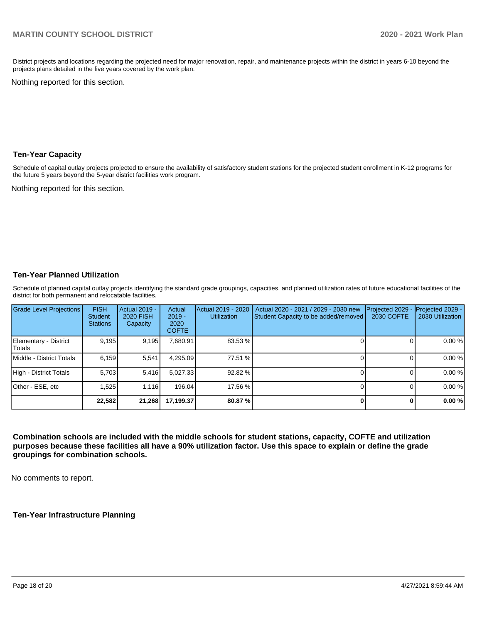District projects and locations regarding the projected need for major renovation, repair, and maintenance projects within the district in years 6-10 beyond the projects plans detailed in the five years covered by the work plan.

Nothing reported for this section.

### **Ten-Year Capacity**

Schedule of capital outlay projects projected to ensure the availability of satisfactory student stations for the projected student enrollment in K-12 programs for the future 5 years beyond the 5-year district facilities work program.

Nothing reported for this section.

## **Ten-Year Planned Utilization**

Schedule of planned capital outlay projects identifying the standard grade groupings, capacities, and planned utilization rates of future educational facilities of the district for both permanent and relocatable facilities.

| Grade Level Projections         | <b>FISH</b><br><b>Student</b><br><b>Stations</b> | Actual 2019 -<br><b>2020 FISH</b><br>Capacity | Actual<br>$2019 -$<br>2020<br><b>COFTE</b> | Actual 2019 - 2020<br><b>Utilization</b> | Actual 2020 - 2021 / 2029 - 2030 new<br>Student Capacity to be added/removed | Projected 2029<br>2030 COFTE | Projected 2029 -<br>2030 Utilization |
|---------------------------------|--------------------------------------------------|-----------------------------------------------|--------------------------------------------|------------------------------------------|------------------------------------------------------------------------------|------------------------------|--------------------------------------|
| Elementary - District<br>Totals | 9,195                                            | 9,195                                         | 7,680.91                                   | 83.53 %                                  |                                                                              |                              | 0.00%                                |
| Middle - District Totals        | 6.159                                            | 5,541                                         | 4.295.09                                   | 77.51 %                                  |                                                                              |                              | 0.00%                                |
| High - District Totals          | 5.703                                            | 5,416                                         | 5.027.33                                   | 92.82 %                                  |                                                                              |                              | 0.00%                                |
| Other - ESE, etc                | 1.525                                            | 1.116                                         | 196.04                                     | 17.56 %                                  |                                                                              |                              | 0.00%                                |
|                                 | 22,582                                           | 21,268                                        | 17,199.37                                  | 80.87 %                                  |                                                                              |                              | 0.00%                                |

**Combination schools are included with the middle schools for student stations, capacity, COFTE and utilization purposes because these facilities all have a 90% utilization factor. Use this space to explain or define the grade groupings for combination schools.** 

No comments to report.

**Ten-Year Infrastructure Planning**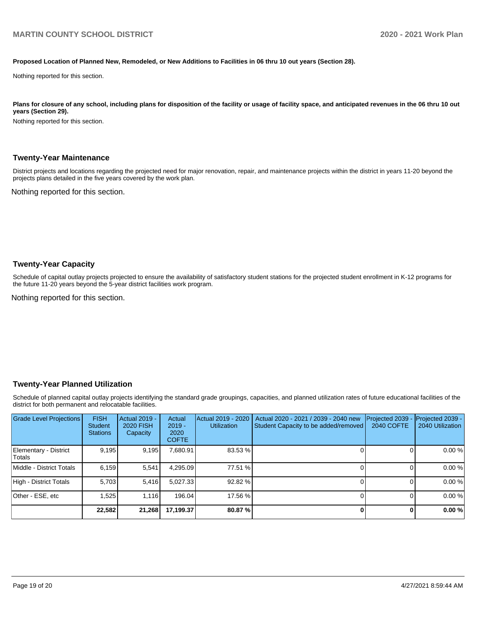#### **Proposed Location of Planned New, Remodeled, or New Additions to Facilities in 06 thru 10 out years (Section 28).**

Nothing reported for this section.

Plans for closure of any school, including plans for disposition of the facility or usage of facility space, and anticipated revenues in the 06 thru 10 out **years (Section 29).**

Nothing reported for this section.

#### **Twenty-Year Maintenance**

District projects and locations regarding the projected need for major renovation, repair, and maintenance projects within the district in years 11-20 beyond the projects plans detailed in the five years covered by the work plan.

Nothing reported for this section.

#### **Twenty-Year Capacity**

Schedule of capital outlay projects projected to ensure the availability of satisfactory student stations for the projected student enrollment in K-12 programs for the future 11-20 years beyond the 5-year district facilities work program.

Nothing reported for this section.

### **Twenty-Year Planned Utilization**

Schedule of planned capital outlay projects identifying the standard grade groupings, capacities, and planned utilization rates of future educational facilities of the district for both permanent and relocatable facilities.

| Grade Level Projections         | <b>FISH</b><br><b>Student</b><br><b>Stations</b> | Actual 2019 -<br><b>2020 FISH</b><br>Capacity | Actual<br>$2019 -$<br>2020<br><b>COFTE</b> | Actual 2019 - 2020<br><b>Utilization</b> | Actual 2020 - 2021 / 2039 - 2040 new<br>Student Capacity to be added/removed | Projected 2039<br><b>2040 COFTE</b> | Projected 2039 -<br>2040 Utilization |
|---------------------------------|--------------------------------------------------|-----------------------------------------------|--------------------------------------------|------------------------------------------|------------------------------------------------------------------------------|-------------------------------------|--------------------------------------|
| Elementary - District<br>Totals | 9,195                                            | 9,195                                         | 7.680.91                                   | 83.53 %                                  |                                                                              |                                     | 0.00%                                |
| Middle - District Totals        | 6.159                                            | 5,541                                         | 4.295.09                                   | 77.51 %                                  |                                                                              |                                     | 0.00%                                |
| High - District Totals          | 5.703                                            | 5.416                                         | 5.027.33                                   | 92.82 %                                  |                                                                              |                                     | 0.00%                                |
| Other - ESE, etc                | 1,525                                            | 1.116                                         | 196.04                                     | 17.56 %                                  |                                                                              |                                     | 0.00%                                |
|                                 | 22,582                                           | 21,268                                        | 17,199.37                                  | 80.87 %                                  |                                                                              | 0                                   | 0.00%                                |